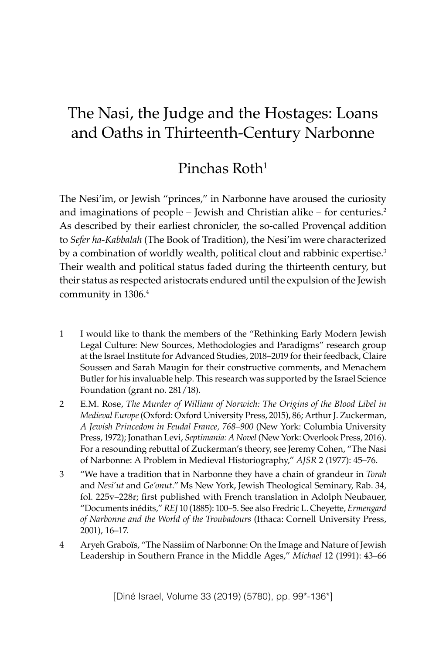# The Nasi, the Judge and the Hostages: Loans and Oaths in Thirteenth-Century Narbonne

## Pinchas Roth<sup>1</sup>

The Nesi'im, or Jewish "princes," in Narbonne have aroused the curiosity and imaginations of people – Jewish and Christian alike – for centuries. $2$ As described by their earliest chronicler, the so-called Proven�al addition to *Sefer ha-Kabbalah* (The Book of Tradition), the Nesi'im were characterized by a combination of worldly wealth, political clout and rabbinic expertise.<sup>3</sup> Their wealth and political status faded during the thirteenth century, but their status as respected aristocrats endured until the expulsion of the Jewish community in 1306.4

- 1 I would like to thank the members of the "Rethinking Early Modern Jewish Legal Culture: New Sources, Methodologies and Paradigms" research group at the Israel Institute for Advanced Studies, 2018–2019 for their feedback, Claire Soussen and Sarah Maugin for their constructive comments, and Menachem Butler for his invaluable help. This research was supported by the Israel Science Foundation (grant no. 281/18).
- 2 E.M. Rose, *The Murder of William of Norwich: The Origins of the Blood Libel in Medieval Europe* (Oxford: Oxford University Press, 2015), 86; Arthur J. Zuckerman, *A Jewish Princedom in Feudal France, 768–900* (New York: Columbia University Press, 1972); Jonathan Levi, *Septimania: A Novel* (New York: Overlook Press, 2016). For a resounding rebuttal of Zuckerman's theory, see Jeremy Cohen, "The Nasi of Narbonne: A Problem in Medieval Historiography," *AJSR* 2 (1977): 45–76.
- 3 "We have a tradition that in Narbonne they have a chain of grandeur in *Torah* and *Nesi'ut* and *Ge'onut*." Ms New York, Jewish Theological Seminary, Rab. 34, fol. 225v–228r; first published with French translation in Adolph Neubauer, "Documents inédits," *REJ* 10 (1885): 100–5. See also Fredric L. Cheyette, *Ermengard of Narbonne and the World of the Troubadours* (Ithaca: Cornell University Press, 2001), 16–17.
- 4 Aryeh Grabo�s, "The Nassiim of Narbonne: On the Image and Nature of Jewish Leadership in Southern France in the Middle Ages," *Michael* 12 (1991): 43–66

[Diné Israel, Volume 33 (2019) (5780), pp. 99\*-136\*]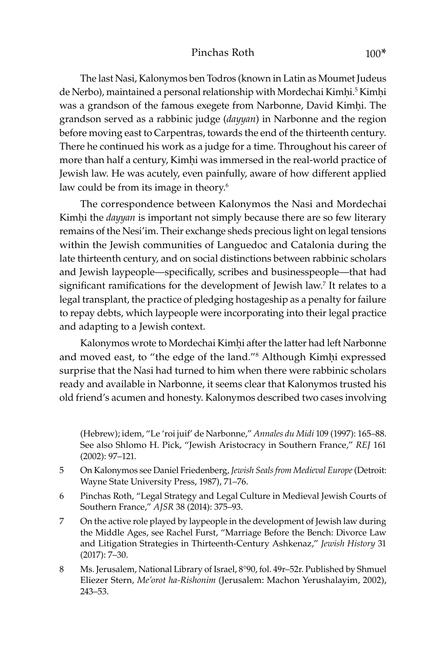The last Nasi, Kalonymos ben Todros (known in Latin as Moumet Judeus de Nerbo), maintained a personal relationship with Mordechai Kimhi.<sup>5</sup> Kimhi was a grandson of the famous exegete from Narbonne, David Kimhi. The grandson served as a rabbinic judge (*dayyan*) in Narbonne and the region before moving east to Carpentras, towards the end of the thirteenth century. There he continued his work as a judge for a time. Throughout his career of more than half a century, Kimhi was immersed in the real-world practice of Jewish law. He was acutely, even painfully, aware of how different applied law could be from its image in theory.<sup>6</sup>

The correspondence between Kalonymos the Nasi and Mordechai Kimhi the *dayyan* is important not simply because there are so few literary remains of the Nesi'im. Their exchange sheds precious light on legal tensions within the Jewish communities of Languedoc and Catalonia during the late thirteenth century, and on social distinctions between rabbinic scholars and Jewish laypeople—specifically, scribes and businesspeople—that had significant ramifications for the development of Jewish law.<sup>7</sup> It relates to a legal transplant, the practice of pledging hostageship as a penalty for failure to repay debts, which laypeople were incorporating into their legal practice and adapting to a Jewish context.

Kalonymos wrote to Mordechai Kimhi after the latter had left Narbonne and moved east, to "the edge of the land."<sup>8</sup> Although Kimhi expressed surprise that the Nasi had turned to him when there were rabbinic scholars ready and available in Narbonne, it seems clear that Kalonymos trusted his old friend's acumen and honesty. Kalonymos described two cases involving

(Hebrew); idem, "Le 'roi juif' de Narbonne," *Annales du Midi* 109 (1997): 165–88. See also Shlomo H. Pick, "Jewish Aristocracy in Southern France," *REJ* 161 (2002): 97–121.

- 5 On Kalonymos see Daniel Friedenberg, *Jewish Seals from Medieval Europe* (Detroit: Wayne State University Press, 1987), 71–76.
- 6 Pinchas Roth, "Legal Strategy and Legal Culture in Medieval Jewish Courts of Southern France," *AJSR* 38 (2014): 375–93.
- 7 On the active role played by laypeople in the development of Jewish law during the Middle Ages, see Rachel Furst, "Marriage Before the Bench: Divorce Law and Litigation Strategies in Thirteenth-Century Ashkenaz," *Jewish History* 31 (2017): 7–30.
- 8 Ms. Jerusalem, National Library of Israel, 8°90, fol. 49r–52r. Published by Shmuel Eliezer Stern, *Me'orot ha-Rishonim* (Jerusalem: Machon Yerushalayim, 2002), 243–53.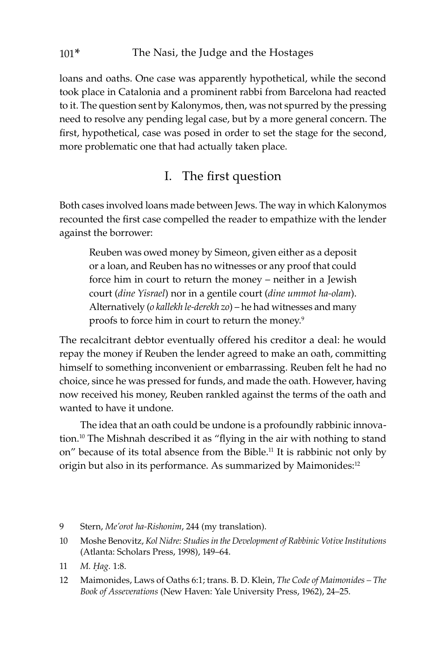loans and oaths. One case was apparently hypothetical, while the second took place in Catalonia and a prominent rabbi from Barcelona had reacted to it. The question sent by Kalonymos, then, was not spurred by the pressing need to resolve any pending legal case, but by a more general concern. The first, hypothetical, case was posed in order to set the stage for the second, more problematic one that had actually taken place.

## I. The first question

Both cases involved loans made between Jews. The way in which Kalonymos recounted the first case compelled the reader to empathize with the lender against the borrower:

Reuben was owed money by Simeon, given either as a deposit or a loan, and Reuben has no witnesses or any proof that could force him in court to return the money – neither in a Jewish court (*dine Yisrael*) nor in a gentile court (*dine ummot ha-olam*). Alternatively (*o kallekh le-derekh zo*) – he had witnesses and many proofs to force him in court to return the money.9

The recalcitrant debtor eventually offered his creditor a deal: he would repay the money if Reuben the lender agreed to make an oath, committing himself to something inconvenient or embarrassing. Reuben felt he had no choice, since he was pressed for funds, and made the oath. However, having now received his money, Reuben rankled against the terms of the oath and wanted to have it undone.

The idea that an oath could be undone is a profoundly rabbinic innovation.<sup>10</sup> The Mishnah described it as "flying in the air with nothing to stand on" because of its total absence from the Bible.<sup>11</sup> It is rabbinic not only by origin but also in its performance. As summarized by Maimonides:<sup>12</sup>

- 9 Stern, *Me'orot ha-Rishonim*, 244 (my translation).
- 10 Moshe Benovitz, *Kol Nidre: Studies in the Development of Rabbinic Votive Institutions* (Atlanta: Scholars Press, 1998), 149–64.
- 11 *M. Êag.* 1:8.
- 12 Maimonides, Laws of Oaths 6:1; trans. B. D. Klein, *The Code of Maimonides The Book of Asseverations* (New Haven: Yale University Press, 1962), 24–25.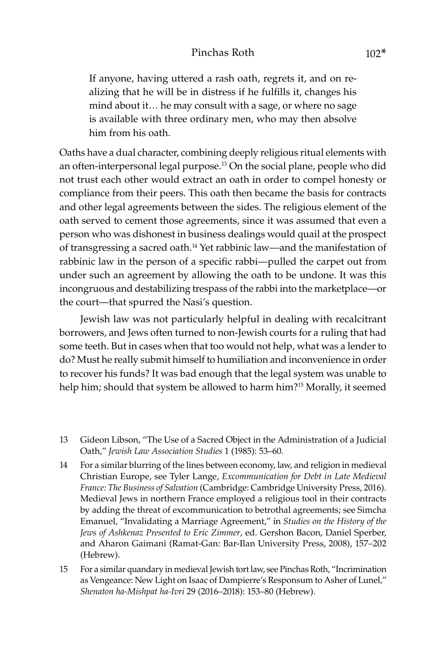If anyone, having uttered a rash oath, regrets it, and on realizing that he will be in distress if he fulfills it, changes his mind about it… he may consult with a sage, or where no sage is available with three ordinary men, who may then absolve him from his oath.

Oaths have a dual character, combining deeply religious ritual elements with an often-interpersonal legal purpose.13 On the social plane, people who did not trust each other would extract an oath in order to compel honesty or compliance from their peers. This oath then became the basis for contracts and other legal agreements between the sides. The religious element of the oath served to cement those agreements, since it was assumed that even a person who was dishonest in business dealings would quail at the prospect of transgressing a sacred oath.14 Yet rabbinic law—and the manifestation of rabbinic law in the person of a specific rabbi—pulled the carpet out from under such an agreement by allowing the oath to be undone. It was this incongruous and destabilizing trespass of the rabbi into the marketplace—or the court—that spurred the Nasi's question.

Jewish law was not particularly helpful in dealing with recalcitrant borrowers, and Jews often turned to non-Jewish courts for a ruling that had some teeth. But in cases when that too would not help, what was a lender to do? Must he really submit himself to humiliation and inconvenience in order to recover his funds? It was bad enough that the legal system was unable to help him; should that system be allowed to harm him?<sup>15</sup> Morally, it seemed

- 13 Gideon Libson, "The Use of a Sacred Object in the Administration of a Judicial Oath," *Jewish Law Association Studies* 1 (1985): 53–60.
- 14 For a similar blurring of the lines between economy, law, and religion in medieval Christian Europe, see Tyler Lange, *Excommunication for Debt in Late Medieval France: The Business of Salvation* (Cambridge: Cambridge University Press, 2016). Medieval Jews in northern France employed a religious tool in their contracts by adding the threat of excommunication to betrothal agreements; see Simcha Emanuel, "Invalidating a Marriage Agreement," in *Studies on the History of the Jews of Ashkenaz Presented to Eric Zimmer*, ed. Gershon Bacon, Daniel Sperber, and Aharon Gaimani (Ramat-Gan: Bar-Ilan University Press, 2008), 157–202 (Hebrew).
- 15 For a similar quandary in medieval Jewish tort law, see Pinchas Roth, "Incrimination as Vengeance: New Light on Isaac of Dampierre's Responsum to Asher of Lunel," *Shenaton ha-Mishpat ha-Ivri* 29 (2016–2018): 153–80 (Hebrew).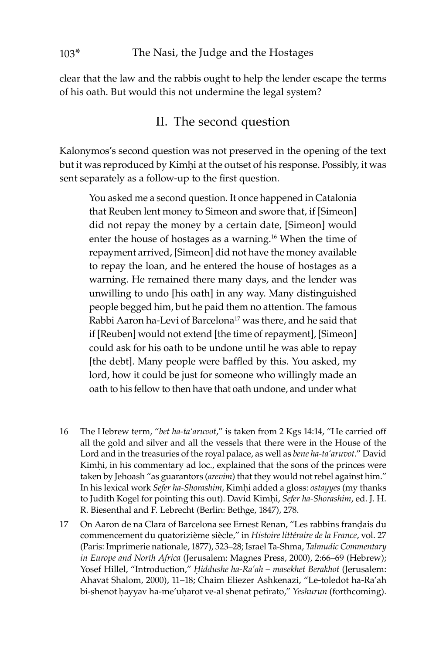clear that the law and the rabbis ought to help the lender escape the terms of his oath. But would this not undermine the legal system?

### II. The second question

Kalonymos's second question was not preserved in the opening of the text but it was reproduced by Kimhi at the outset of his response. Possibly, it was sent separately as a follow-up to the first question.

You asked me a second question. It once happened in Catalonia that Reuben lent money to Simeon and swore that, if [Simeon] did not repay the money by a certain date, [Simeon] would enter the house of hostages as a warning.16 When the time of repayment arrived, [Simeon] did not have the money available to repay the loan, and he entered the house of hostages as a warning. He remained there many days, and the lender was unwilling to undo [his oath] in any way. Many distinguished people begged him, but he paid them no attention. The famous Rabbi Aaron ha-Levi of Barcelona<sup>17</sup> was there, and he said that if [Reuben] would not extend [the time of repayment], [Simeon] could ask for his oath to be undone until he was able to repay [the debt]. Many people were baffled by this. You asked, my lord, how it could be just for someone who willingly made an oath to his fellow to then have that oath undone, and under what

- 16 The Hebrew term, "*bet ha-ta'aruvot*," is taken from 2 Kgs 14:14, "He carried off all the gold and silver and all the vessels that there were in the House of the Lord and in the treasuries of the royal palace, as well as *bene ha-ta'aruvot*." David Kimhi, in his commentary ad loc., explained that the sons of the princes were taken by Jehoash "as guarantors (*arevim*) that they would not rebel against him." In his lexical work *Sefer ha-Shorashim*, Kimêi added a gloss: *ostayyes* (my thanks to Judith Kogel for pointing this out). David Kimhi, *Sefer ha-Shorashim*, ed. J. H. R. Biesenthal and F. Lebrecht (Berlin: Bethge, 1847), 278.
- 17 On Aaron de na Clara of Barcelona see Ernest Renan, "Les rabbins français du commencement du quatorizième siècle," in *Histoire littéraire de la France*, vol. 27 (Paris: Imprimerie nationale, 1877), 523–28; Israel Ta-Shma, *Talmudic Commentary in Europe and North Africa* (Jerusalem: Magnes Press, 2000), 2:66–69 (Hebrew); Yosef Hillel, "Introduction," *Êiddushe ha-Ra'ah – masekhet Berakhot* (Jerusalem: Ahavat Shalom, 2000), 11–18; Chaim Eliezer Ashkenazi, "Le-toledot ha-Ra'ah bi-shenot ḥayyav ha-me'uḥarot ve-al shenat petirato," *Yeshurun* (forthcoming).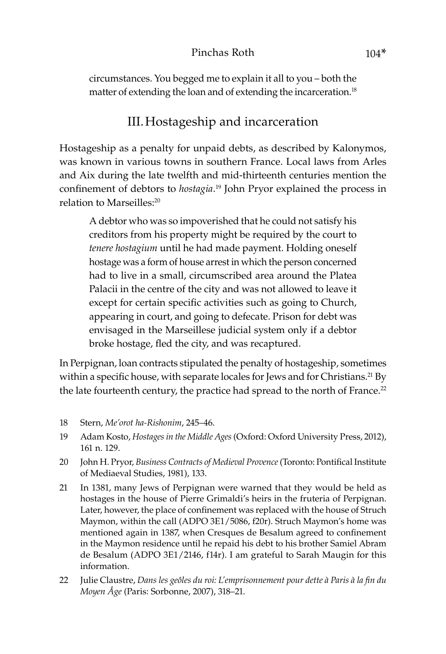#### Pinchas Roth 104\*

circumstances. You begged me to explain it all to you – both the matter of extending the loan and of extending the incarceration.<sup>18</sup>

### III.Hostageship and incarceration

Hostageship as a penalty for unpaid debts, as described by Kalonymos, was known in various towns in southern France. Local laws from Arles and Aix during the late twelfth and mid-thirteenth centuries mention the confinement of debtors to *hostagia*. 19 John Pryor explained the process in relation to Marseilles:20

A debtor who was so impoverished that he could not satisfy his creditors from his property might be required by the court to *tenere hostagium* until he had made payment. Holding oneself hostage was a form of house arrest in which the person concerned had to live in a small, circumscribed area around the Platea Palacii in the centre of the city and was not allowed to leave it except for certain specific activities such as going to Church, appearing in court, and going to defecate. Prison for debt was envisaged in the Marseillese judicial system only if a debtor broke hostage, fled the city, and was recaptured.

In Perpignan, loan contracts stipulated the penalty of hostageship, sometimes within a specific house, with separate locales for Jews and for Christians.<sup>21</sup> By the late fourteenth century, the practice had spread to the north of France.<sup>22</sup>

- 18 Stern, *Me'orot ha-Rishonim*, 245–46.
- 19 Adam Kosto, *Hostages in the Middle Ages* (Oxford: Oxford University Press, 2012), 161 n. 129.
- 20 John H. Pryor, *Business Contracts of Medieval Provence* (Toronto: Pontifical Institute of Mediaeval Studies, 1981), 133.
- 21 In 1381, many Jews of Perpignan were warned that they would be held as hostages in the house of Pierre Grimaldi's heirs in the fruteria of Perpignan. Later, however, the place of confinement was replaced with the house of Struch Maymon, within the call (ADPO 3E1/5086, f20r). Struch Maymon's home was mentioned again in 1387, when Cresques de Besalum agreed to confinement in the Maymon residence until he repaid his debt to his brother Samiel Abram de Besalum (ADPO 3E1/2146, f14r). I am grateful to Sarah Maugin for this information.
- 22 Julie Claustre, *Dans les ge�les du roi: L'emprisonnement pour dette à Paris à la fin du Moyen Âge* (Paris: Sorbonne, 2007), 318–21.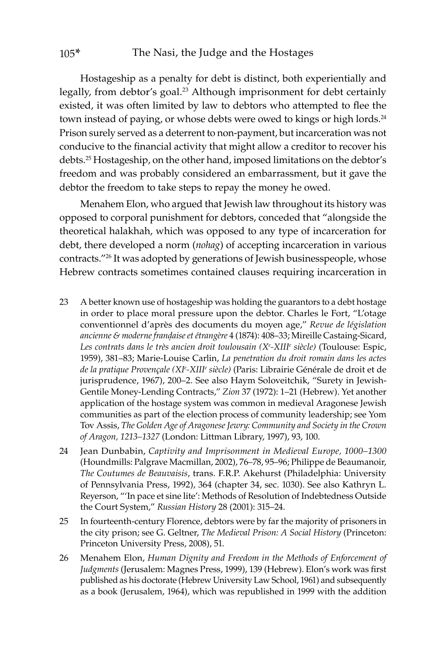Hostageship as a penalty for debt is distinct, both experientially and legally, from debtor's goal.<sup>23</sup> Although imprisonment for debt certainly existed, it was often limited by law to debtors who attempted to flee the town instead of paying, or whose debts were owed to kings or high lords.<sup>24</sup> Prison surely served as a deterrent to non-payment, but incarceration was not conducive to the financial activity that might allow a creditor to recover his debts.25 Hostageship, on the other hand, imposed limitations on the debtor's freedom and was probably considered an embarrassment, but it gave the debtor the freedom to take steps to repay the money he owed.

Menahem Elon, who argued that Jewish law throughout its history was opposed to corporal punishment for debtors, conceded that "alongside the theoretical halakhah, which was opposed to any type of incarceration for debt, there developed a norm (*nohag*) of accepting incarceration in various contracts."26 It was adopted by generations of Jewish businesspeople, whose Hebrew contracts sometimes contained clauses requiring incarceration in

- 23 A better known use of hostageship was holding the guarantors to a debt hostage in order to place moral pressure upon the debtor. Charles le Fort, "L'otage conventionnel d'après des documents du moyen age," *Revue de législation ancienne & moderne française et étrangère* 4 (1874): 408–33; Mireille Castaing-Sicard, *Les contrats dans le très ancien droit toulousain (Xe -XIIIe siècle)* (Toulouse: Espic, 1959), 381–83; Marie-Louise Carlin, *La penetration du droit romain dans les actes de la pratique Proven�ale (XI<sup>e</sup> -XIIIe siècle)* (Paris: Librairie Générale de droit et de jurisprudence, 1967), 200–2. See also Haym Soloveitchik, "Surety in Jewish-Gentile Money-Lending Contracts," *Zion* 37 (1972): 1–21 (Hebrew). Yet another application of the hostage system was common in medieval Aragonese Jewish communities as part of the election process of community leadership; see Yom Tov Assis, *The Golden Age of Aragonese Jewry: Community and Society in the Crown of Aragon, 1213–1327* (London: Littman Library, 1997), 93, 100.
- 24 Jean Dunbabin, *Captivity and Imprisonment in Medieval Europe, 1000–1300* (Houndmills: Palgrave Macmillan, 2002), 76–78, 95–96; Philippe de Beaumanoir, *The Coutumes de Beauvaisis*, trans. F.R.P. Akehurst (Philadelphia: University of Pennsylvania Press, 1992), 364 (chapter 34, sec. 1030). See also Kathryn L. Reyerson, "'In pace et sine lite': Methods of Resolution of Indebtedness Outside the Court System," *Russian History* 28 (2001): 315–24.
- 25 In fourteenth-century Florence, debtors were by far the majority of prisoners in the city prison; see G. Geltner, *The Medieval Prison: A Social History* (Princeton: Princeton University Press, 2008), 51.
- 26 Menahem Elon, *Human Dignity and Freedom in the Methods of Enforcement of Judgments* (Jerusalem: Magnes Press, 1999), 139 (Hebrew). Elon's work was first published as his doctorate (Hebrew University Law School, 1961) and subsequently as a book (Jerusalem, 1964), which was republished in 1999 with the addition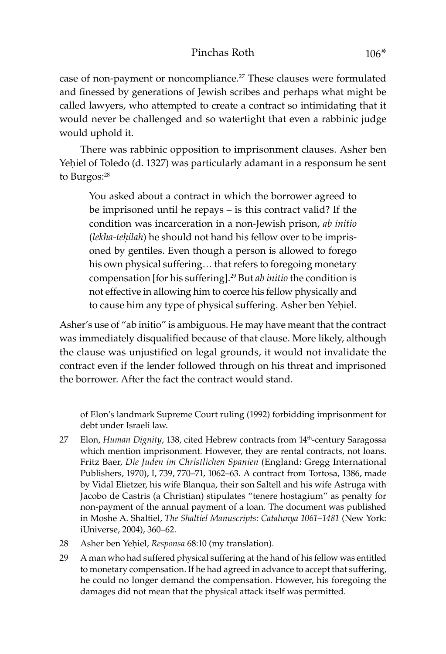case of non-payment or noncompliance.<sup>27</sup> These clauses were formulated and finessed by generations of Jewish scribes and perhaps what might be called lawyers, who attempted to create a contract so intimidating that it would never be challenged and so watertight that even a rabbinic judge would uphold it.

There was rabbinic opposition to imprisonment clauses. Asher ben Yehiel of Toledo (d. 1327) was particularly adamant in a responsum he sent to Burgos:<sup>28</sup>

You asked about a contract in which the borrower agreed to be imprisoned until he repays – is this contract valid? If the condition was incarceration in a non-Jewish prison, *ab initio* (*lekha-teḥilah*) he should not hand his fellow over to be imprisoned by gentiles. Even though a person is allowed to forego his own physical suffering… that refers to foregoing monetary compensation [for his suffering].29 But *ab initio* the condition is not effective in allowing him to coerce his fellow physically and to cause him any type of physical suffering. Asher ben Yehiel.

Asher's use of "ab initio" is ambiguous. He may have meant that the contract was immediately disqualified because of that clause. More likely, although the clause was unjustified on legal grounds, it would not invalidate the contract even if the lender followed through on his threat and imprisoned the borrower. After the fact the contract would stand.

of Elon's landmark Supreme Court ruling (1992) forbidding imprisonment for debt under Israeli law.

- 27 Elon, *Human Dignity*, 138, cited Hebrew contracts from 14<sup>th</sup>-century Saragossa which mention imprisonment. However, they are rental contracts, not loans. Fritz Baer, *Die Juden im Christlichen Spanien* (England: Gregg International Publishers, 1970), I, 739, 770–71, 1062–63. A contract from Tortosa, 1386, made by Vidal Elietzer, his wife Blanqua, their son Saltell and his wife Astruga with Jacobo de Castris (a Christian) stipulates "tenere hostagium" as penalty for non-payment of the annual payment of a loan. The document was published in Moshe A. Shaltiel, *The Shaltiel Manuscripts: Catalunya 1061–1481* (New York: iUniverse, 2004), 360–62.
- 28 Asher ben Yehiel, *Responsa* 68:10 (my translation).
- 29 A man who had suffered physical suffering at the hand of his fellow was entitled to monetary compensation. If he had agreed in advance to accept that suffering, he could no longer demand the compensation. However, his foregoing the damages did not mean that the physical attack itself was permitted.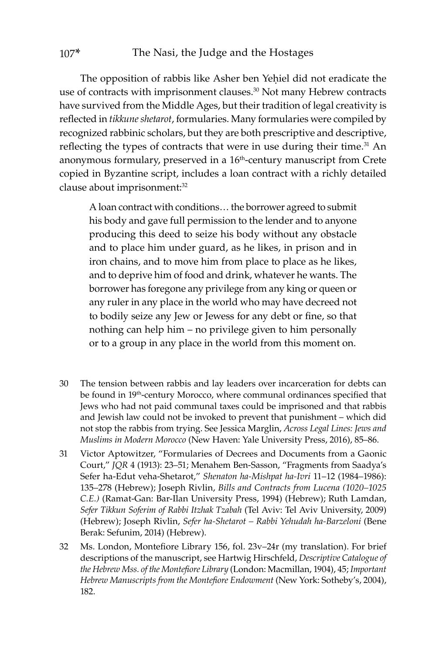The opposition of rabbis like Asher ben Yehiel did not eradicate the use of contracts with imprisonment clauses.30 Not many Hebrew contracts have survived from the Middle Ages, but their tradition of legal creativity is reflected in *tikkune shetarot*, formularies. Many formularies were compiled by recognized rabbinic scholars, but they are both prescriptive and descriptive, reflecting the types of contracts that were in use during their time.<sup>31</sup> An anonymous formulary, preserved in a 16<sup>th</sup>-century manuscript from Crete copied in Byzantine script, includes a loan contract with a richly detailed clause about imprisonment:<sup>32</sup>

A loan contract with conditions… the borrower agreed to submit his body and gave full permission to the lender and to anyone producing this deed to seize his body without any obstacle and to place him under guard, as he likes, in prison and in iron chains, and to move him from place to place as he likes, and to deprive him of food and drink, whatever he wants. The borrower has foregone any privilege from any king or queen or any ruler in any place in the world who may have decreed not to bodily seize any Jew or Jewess for any debt or fine, so that nothing can help him – no privilege given to him personally or to a group in any place in the world from this moment on.

- 30 The tension between rabbis and lay leaders over incarceration for debts can be found in 19<sup>th</sup>-century Morocco, where communal ordinances specified that Jews who had not paid communal taxes could be imprisoned and that rabbis and Jewish law could not be invoked to prevent that punishment – which did not stop the rabbis from trying. See Jessica Marglin, *Across Legal Lines: Jews and Muslims in Modern Morocco* (New Haven: Yale University Press, 2016), 85–86.
- 31 Victor Aptowitzer, "Formularies of Decrees and Documents from a Gaonic Court," *JQR* 4 (1913): 23–51; Menahem Ben-Sasson, "Fragments from Saadya's Sefer ha-Edut veha-Shetarot," *Shenaton ha-Mishpat ha-Ivri* 11–12 (1984–1986): 135–278 (Hebrew); Joseph Rivlin, *Bills and Contracts from Lucena (1020–1025 C.E.)* (Ramat-Gan: Bar-Ilan University Press, 1994) (Hebrew); Ruth Lamdan, *Sefer Tikkun Soferim of Rabbi Itzhak Tzabah* (Tel Aviv: Tel Aviv University, 2009) (Hebrew); Joseph Rivlin, *Sefer ha-Shetarot – Rabbi Yehudah ha-Barzeloni* (Bene Berak: Sefunim, 2014) (Hebrew).
- 32 Ms. London, Montefiore Library 156, fol. 23v–24r (my translation). For brief descriptions of the manuscript, see Hartwig Hirschfeld, *Descriptive Catalogue of the Hebrew Mss. of the Montefiore Library* (London: Macmillan, 1904), 45; *Important Hebrew Manuscripts from the Montefiore Endowment* (New York: Sotheby's, 2004), 182.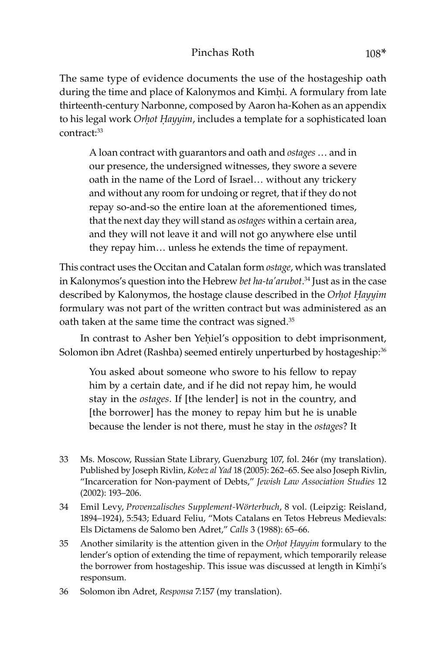#### Pinchas Roth 108\*

The same type of evidence documents the use of the hostageship oath during the time and place of Kalonymos and Kimhi. A formulary from late thirteenth-century Narbonne, composed by Aaron ha-Kohen as an appendix to his legal work *Orhot Hayyim*, includes a template for a sophisticated loan contract:33

A loan contract with guarantors and oath and *ostages* … and in our presence, the undersigned witnesses, they swore a severe oath in the name of the Lord of Israel… without any trickery and without any room for undoing or regret, that if they do not repay so-and-so the entire loan at the aforementioned times, that the next day they will stand as *ostages* within a certain area, and they will not leave it and will not go anywhere else until they repay him… unless he extends the time of repayment.

This contract uses the Occitan and Catalan form *ostage*, which was translated in Kalonymos's question into the Hebrew *bet ha-ta'arubot*. 34 Just as in the case described by Kalonymos, the hostage clause described in the *Orhot Hayyim* formulary was not part of the written contract but was administered as an oath taken at the same time the contract was signed.<sup>35</sup>

In contrast to Asher ben Yehiel's opposition to debt imprisonment, Solomon ibn Adret (Rashba) seemed entirely unperturbed by hostageship:36

You asked about someone who swore to his fellow to repay him by a certain date, and if he did not repay him, he would stay in the *ostages*. If [the lender] is not in the country, and [the borrower] has the money to repay him but he is unable because the lender is not there, must he stay in the *ostages*? It

- 33 Ms. Moscow, Russian State Library, Guenzburg 107, fol. 246r (my translation). Published by Joseph Rivlin, *Kobez al Yad* 18 (2005): 262–65. See also Joseph Rivlin, "Incarceration for Non-payment of Debts," *Jewish Law Association Studies* 12 (2002): 193–206.
- 34 Emil Levy, *Provenzalisches Supplement-Wörterbuch*, 8 vol. (Leipzig: Reisland, 1894–1924), 5:543; Eduard Feliu, "Mots Catalans en Tetos Hebreus Medievals: Els Dictamens de Salomo ben Adret," *Calls* 3 (1988): 65–66.
- 35 Another similarity is the attention given in the *Orhot Hayyim* formulary to the lender's option of extending the time of repayment, which temporarily release the borrower from hostageship. This issue was discussed at length in Kimhi's responsum.
- 36 Solomon ibn Adret, *Responsa* 7:157 (my translation).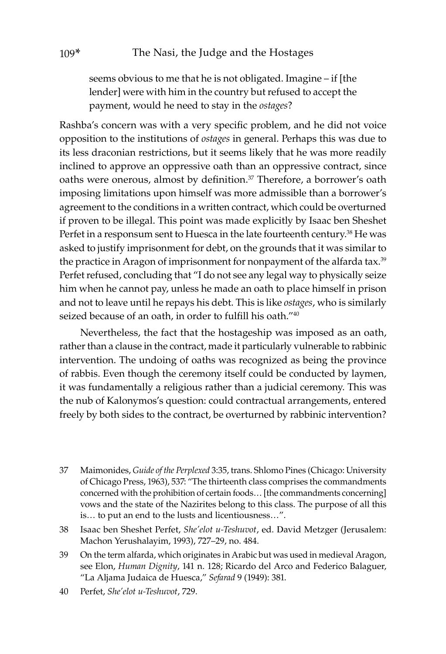seems obvious to me that he is not obligated. Imagine – if [the lender] were with him in the country but refused to accept the payment, would he need to stay in the *ostages*?

Rashba's concern was with a very specific problem, and he did not voice opposition to the institutions of *ostages* in general. Perhaps this was due to its less draconian restrictions, but it seems likely that he was more readily inclined to approve an oppressive oath than an oppressive contract, since oaths were onerous, almost by definition.<sup>37</sup> Therefore, a borrower's oath imposing limitations upon himself was more admissible than a borrower's agreement to the conditions in a written contract, which could be overturned if proven to be illegal. This point was made explicitly by Isaac ben Sheshet Perfet in a responsum sent to Huesca in the late fourteenth century.<sup>38</sup> He was asked to justify imprisonment for debt, on the grounds that it was similar to the practice in Aragon of imprisonment for nonpayment of the alfarda tax.<sup>39</sup> Perfet refused, concluding that "I do not see any legal way to physically seize him when he cannot pay, unless he made an oath to place himself in prison and not to leave until he repays his debt. This is like *ostages*, who is similarly seized because of an oath, in order to fulfill his oath.<sup>"40</sup>

Nevertheless, the fact that the hostageship was imposed as an oath, rather than a clause in the contract, made it particularly vulnerable to rabbinic intervention. The undoing of oaths was recognized as being the province of rabbis. Even though the ceremony itself could be conducted by laymen, it was fundamentally a religious rather than a judicial ceremony. This was the nub of Kalonymos's question: could contractual arrangements, entered freely by both sides to the contract, be overturned by rabbinic intervention?

- 37 Maimonides, *Guide of the Perplexed* 3:35, trans. Shlomo Pines (Chicago: University of Chicago Press, 1963), 537: "The thirteenth class comprises the commandments concerned with the prohibition of certain foods… [the commandments concerning] vows and the state of the Nazirites belong to this class. The purpose of all this is… to put an end to the lusts and licentiousness…".
- 38 Isaac ben Sheshet Perfet, *She'elot u-Teshuvot*, ed. David Metzger (Jerusalem: Machon Yerushalayim, 1993), 727–29, no. 484.
- 39 On the term alfarda, which originates in Arabic but was used in medieval Aragon, see Elon, *Human Dignity*, 141 n. 128; Ricardo del Arco and Federico Balaguer, "La Aljama Judaica de Huesca," *Sefarad* 9 (1949): 381.
- 40 Perfet, *She'elot u-Teshuvot*, 729.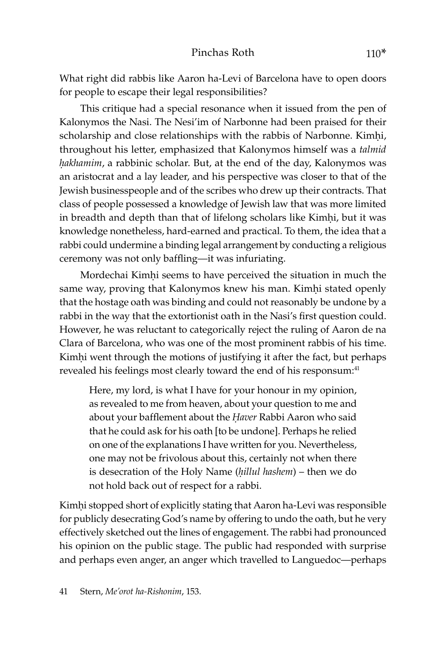What right did rabbis like Aaron ha-Levi of Barcelona have to open doors for people to escape their legal responsibilities?

This critique had a special resonance when it issued from the pen of Kalonymos the Nasi. The Nesi'im of Narbonne had been praised for their scholarship and close relationships with the rabbis of Narbonne. Kimhi, throughout his letter, emphasized that Kalonymos himself was a *talmid*  hakhamim, a rabbinic scholar. But, at the end of the day, Kalonymos was an aristocrat and a lay leader, and his perspective was closer to that of the Jewish businesspeople and of the scribes who drew up their contracts. That class of people possessed a knowledge of Jewish law that was more limited in breadth and depth than that of lifelong scholars like Kimhi, but it was knowledge nonetheless, hard-earned and practical. To them, the idea that a rabbi could undermine a binding legal arrangement by conducting a religious ceremony was not only baffling—it was infuriating.

Mordechai Kimhi seems to have perceived the situation in much the same way, proving that Kalonymos knew his man. Kimhi stated openly that the hostage oath was binding and could not reasonably be undone by a rabbi in the way that the extortionist oath in the Nasi's first question could. However, he was reluctant to categorically reject the ruling of Aaron de na Clara of Barcelona, who was one of the most prominent rabbis of his time. Kimhi went through the motions of justifying it after the fact, but perhaps revealed his feelings most clearly toward the end of his responsum:<sup>41</sup>

Here, my lord, is what I have for your honour in my opinion, as revealed to me from heaven, about your question to me and about your bafflement about the *Haver* Rabbi Aaron who said that he could ask for his oath [to be undone]. Perhaps he relied on one of the explanations I have written for you. Nevertheless, one may not be frivolous about this, certainly not when there is desecration of the Holy Name (*ḥillul hashem*) – then we do not hold back out of respect for a rabbi.

Kimhi stopped short of explicitly stating that Aaron ha-Levi was responsible for publicly desecrating God's name by offering to undo the oath, but he very effectively sketched out the lines of engagement. The rabbi had pronounced his opinion on the public stage. The public had responded with surprise and perhaps even anger, an anger which travelled to Languedoc—perhaps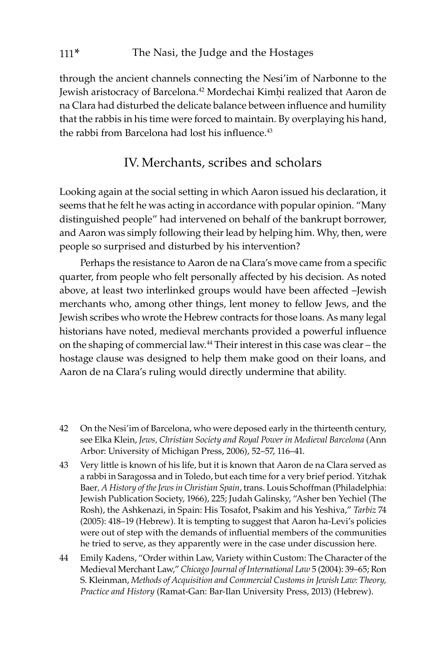through the ancient channels connecting the Nesi'im of Narbonne to the Jewish aristocracy of Barcelona.<sup>42</sup> Mordechai Kimhi realized that Aaron de na Clara had disturbed the delicate balance between influence and humility that the rabbis in his time were forced to maintain. By overplaying his hand, the rabbi from Barcelona had lost his influence.<sup>43</sup>

### IV. Merchants, scribes and scholars

Looking again at the social setting in which Aaron issued his declaration, it seems that he felt he was acting in accordance with popular opinion. "Many distinguished people" had intervened on behalf of the bankrupt borrower, and Aaron was simply following their lead by helping him. Why, then, were people so surprised and disturbed by his intervention?

Perhaps the resistance to Aaron de na Clara's move came from a specific quarter, from people who felt personally affected by his decision. As noted above, at least two interlinked groups would have been affected –Jewish merchants who, among other things, lent money to fellow Jews, and the Jewish scribes who wrote the Hebrew contracts for those loans. As many legal historians have noted, medieval merchants provided a powerful influence on the shaping of commercial law.44 Their interest in this case was clear – the hostage clause was designed to help them make good on their loans, and Aaron de na Clara's ruling would directly undermine that ability.

- 42 On the Nesi'im of Barcelona, who were deposed early in the thirteenth century, see Elka Klein, *Jews, Christian Society and Royal Power in Medieval Barcelona* (Ann Arbor: University of Michigan Press, 2006), 52–57, 116–41.
- 43 Very little is known of his life, but it is known that Aaron de na Clara served as a rabbi in Saragossa and in Toledo, but each time for a very brief period. Yitzhak Baer*, A History of the Jews in Christian Spain*, trans. Louis Schoffman (Philadelphia: Jewish Publication Society, 1966), 225; Judah Galinsky, "Asher ben Yechiel (The Rosh), the Ashkenazi, in Spain: His Tosafot, Psakim and his Yeshiva," *Tarbiz* 74 (2005): 418–19 (Hebrew). It is tempting to suggest that Aaron ha-Levi's policies were out of step with the demands of influential members of the communities he tried to serve, as they apparently were in the case under discussion here.
- 44 Emily Kadens, "Order within Law, Variety within Custom: The Character of the Medieval Merchant Law," *Chicago Journal of International Law* 5 (2004): 39–65; Ron S. Kleinman, *Methods of Acquisition and Commercial Customs in Jewish Law: Theory, Practice and History* (Ramat-Gan: Bar-Ilan University Press, 2013) (Hebrew).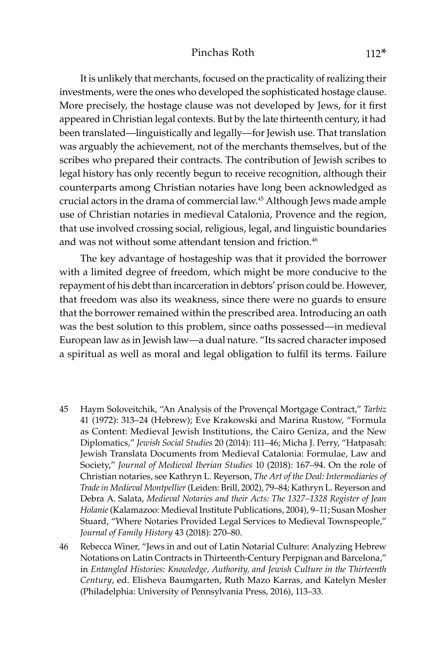#### Pinchas Roth 112<sup>\*</sup>

It is unlikely that merchants, focused on the practicality of realizing their investments, were the ones who developed the sophisticated hostage clause. More precisely, the hostage clause was not developed by Jews, for it first appeared in Christian legal contexts. But by the late thirteenth century, it had been translated—linguistically and legally—for Jewish use. That translation was arguably the achievement, not of the merchants themselves, but of the scribes who prepared their contracts. The contribution of Jewish scribes to legal history has only recently begun to receive recognition, although their counterparts among Christian notaries have long been acknowledged as crucial actors in the drama of commercial law.45 Although Jews made ample use of Christian notaries in medieval Catalonia, Provence and the region, that use involved crossing social, religious, legal, and linguistic boundaries and was not without some attendant tension and friction.<sup>46</sup>

The key advantage of hostageship was that it provided the borrower with a limited degree of freedom, which might be more conducive to the repayment of his debt than incarceration in debtors' prison could be. However, that freedom was also its weakness, since there were no guards to ensure that the borrower remained within the prescribed area. Introducing an oath was the best solution to this problem, since oaths possessed—in medieval European law as in Jewish law—a dual nature. "Its sacred character imposed a spiritual as well as moral and legal obligation to fulfil its terms. Failure

- 45 Haym Soloveitchik, "An Analysis of the Proven�al Mortgage Contract," *Tarbiz* 41 (1972): 313–24 (Hebrew); Eve Krakowski and Marina Rustow, "Formula as Content: Medieval Jewish Institutions, the Cairo Geniza, and the New Diplomatics," *Jewish Social Studies* 20 (2014): 111–46; Micha J. Perry, "Hatpasah: Jewish Translata Documents from Medieval Catalonia: Formulae, Law and Society," *Journal of Medieval Iberian Studies* 10 (2018): 167–94. On the role of Christian notaries, see Kathryn L. Reyerson, *The Art of the Deal: Intermediaries of Trade in Medieval Montpellier* (Leiden: Brill, 2002), 79–84; Kathryn L. Reyerson and Debra A. Salata, *Medieval Notaries and their Acts: The 1327–1328 Register of Jean Holanie* (Kalamazoo: Medieval Institute Publications, 2004), 9–11; Susan Mosher Stuard, "Where Notaries Provided Legal Services to Medieval Townspeople," *Journal of Family History* 43 (2018): 270–80.
- 46 Rebecca Winer, "Jews in and out of Latin Notarial Culture: Analyzing Hebrew Notations on Latin Contracts in Thirteenth-Century Perpignan and Barcelona," in *Entangled Histories: Knowledge, Authority, and Jewish Culture in the Thirteenth Century*, ed. Elisheva Baumgarten, Ruth Mazo Karras, and Katelyn Mesler (Philadelphia: University of Pennsylvania Press, 2016), 113–33.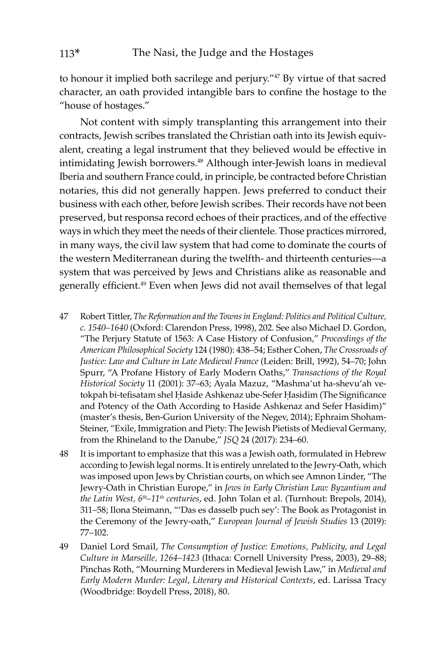to honour it implied both sacrilege and perjury."<sup>47</sup> By virtue of that sacred character, an oath provided intangible bars to confine the hostage to the "house of hostages."

Not content with simply transplanting this arrangement into their contracts, Jewish scribes translated the Christian oath into its Jewish equivalent, creating a legal instrument that they believed would be effective in intimidating Jewish borrowers.<sup>48</sup> Although inter-Jewish loans in medieval Iberia and southern France could, in principle, be contracted before Christian notaries, this did not generally happen. Jews preferred to conduct their business with each other, before Jewish scribes. Their records have not been preserved, but responsa record echoes of their practices, and of the effective ways in which they meet the needs of their clientele. Those practices mirrored, in many ways, the civil law system that had come to dominate the courts of the western Mediterranean during the twelfth- and thirteenth centuries—a system that was perceived by Jews and Christians alike as reasonable and generally efficient.<sup>49</sup> Even when Jews did not avail themselves of that legal

- 47 Robert Tittler, *The Reformation and the Towns in England: Politics and Political Culture, c. 1540–1640* (Oxford: Clarendon Press, 1998), 202. See also Michael D. Gordon, "The Perjury Statute of 1563: A Case History of Confusion," *Proceedings of the American Philosophical Society* 124 (1980): 438–54; Esther Cohen, *The Crossroads of Justice: Law and Culture in Late Medieval France* (Leiden: Brill, 1992), 54–70; John Spurr, "A Profane History of Early Modern Oaths," *Transactions of the Royal Historical Society* 11 (2001): 37–63; Ayala Mazuz, "Mashma'ut ha-shevu'ah vetokpah bi-tefisatam shel Ḥaside Ashkenaz ube-Sefer Ḥasidim (The Significance and Potency of the Oath According to Haside Ashkenaz and Sefer Hasidim)" (master's thesis, Ben-Gurion University of the Negev, 2014); Ephraim Shoham-Steiner, "Exile, Immigration and Piety: The Jewish Pietists of Medieval Germany, from the Rhineland to the Danube," *JSQ* 24 (2017): 234–60.
- 48 It is important to emphasize that this was a Jewish oath, formulated in Hebrew according to Jewish legal norms. It is entirely unrelated to the Jewry-Oath, which was imposed upon Jews by Christian courts, on which see Amnon Linder, "The Jewry-Oath in Christian Europe," in *Jews in Early Christian Law: Byzantium and the Latin West, 6th–11th centuries*, ed. John Tolan et al. (Turnhout: Brepols, 2014), 311–58; Ilona Steimann, "'Das es dasselb puch sey': The Book as Protagonist in the Ceremony of the Jewry-oath," *European Journal of Jewish Studies* 13 (2019): 77–102.
- 49 Daniel Lord Smail, *The Consumption of Justice: Emotions, Publicity, and Legal Culture in Marseille, 1264–1423* (Ithaca: Cornell University Press, 2003), 29–88; Pinchas Roth, "Mourning Murderers in Medieval Jewish Law," in *Medieval and Early Modern Murder: Legal, Literary and Historical Contexts*, ed. Larissa Tracy (Woodbridge: Boydell Press, 2018), 80.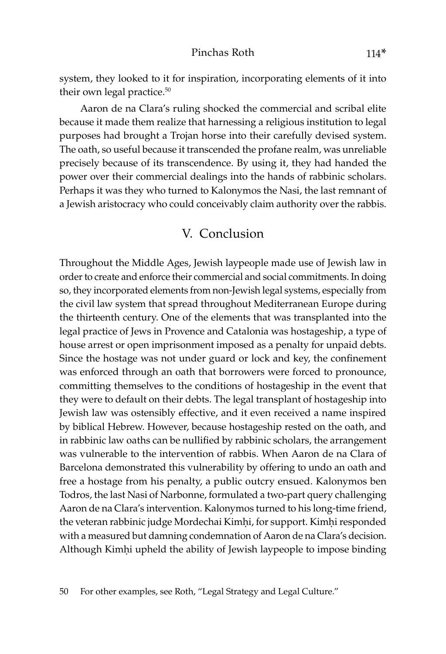system, they looked to it for inspiration, incorporating elements of it into their own legal practice.<sup>50</sup>

Aaron de na Clara's ruling shocked the commercial and scribal elite because it made them realize that harnessing a religious institution to legal purposes had brought a Trojan horse into their carefully devised system. The oath, so useful because it transcended the profane realm, was unreliable precisely because of its transcendence. By using it, they had handed the power over their commercial dealings into the hands of rabbinic scholars. Perhaps it was they who turned to Kalonymos the Nasi, the last remnant of a Jewish aristocracy who could conceivably claim authority over the rabbis.

### V. Conclusion

Throughout the Middle Ages, Jewish laypeople made use of Jewish law in order to create and enforce their commercial and social commitments. In doing so, they incorporated elements from non-Jewish legal systems, especially from the civil law system that spread throughout Mediterranean Europe during the thirteenth century. One of the elements that was transplanted into the legal practice of Jews in Provence and Catalonia was hostageship, a type of house arrest or open imprisonment imposed as a penalty for unpaid debts. Since the hostage was not under guard or lock and key, the confinement was enforced through an oath that borrowers were forced to pronounce, committing themselves to the conditions of hostageship in the event that they were to default on their debts. The legal transplant of hostageship into Jewish law was ostensibly effective, and it even received a name inspired by biblical Hebrew. However, because hostageship rested on the oath, and in rabbinic law oaths can be nullified by rabbinic scholars, the arrangement was vulnerable to the intervention of rabbis. When Aaron de na Clara of Barcelona demonstrated this vulnerability by offering to undo an oath and free a hostage from his penalty, a public outcry ensued. Kalonymos ben Todros, the last Nasi of Narbonne, formulated a two-part query challenging Aaron de na Clara's intervention. Kalonymos turned to his long-time friend, the veteran rabbinic judge Mordechai Kimhi, for support. Kimhi responded with a measured but damning condemnation of Aaron de na Clara's decision. Although Kimhi upheld the ability of Jewish laypeople to impose binding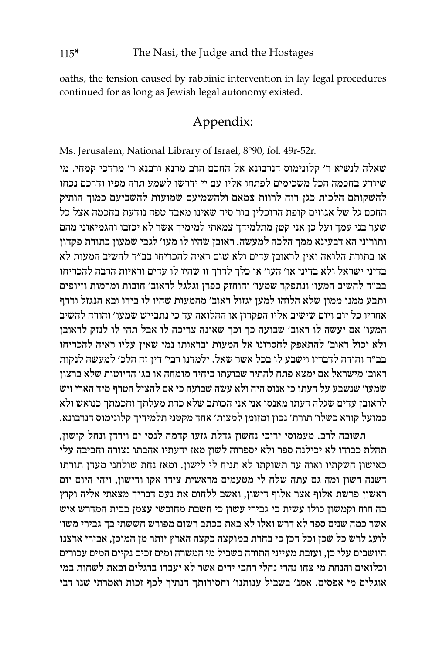oaths, the tension caused by rabbinic intervention in lay legal procedures continued for as long as Jewish legal autonomy existed.

## Appendix:

Ms. Jerusalem, National Library of Israel, 8°90, fol. 49r-52r.

שאלה לנשיא ר' קלונימוס דנרבונא אל החכם הרב מרנא ורבנא ר' מרדכי קמחי. מי שיודע בחכמה הכל משכימים לפתחו אליו עם יי ידרשו לשמע תרה מפיו ודרכם נכחו להשקותם הלכות כגן רוה לרוות צמאם ולהשמיעם שמועות להשביעם כמוך הותיק החכם גל של אגוזים קופת הרוכלין בור סיד שאינו מאבד טפה נודעת בחכמה אצל כל שער בני עמך ועל כן אני קטן מתלמידך צמאתי למימיך אשר לא יכזבו והגמיאוני מהם ותוריני הא דבעינא ממך הלכה למעשה. ראובן שהיו לו מעו' לגבי שמעון בתורת פקדון או בתורת הלואה ואין לראובן עדים ולא שום ראיה להכריחו בב"ד להשיב המעות לא בדיני ישראל ולא בדיני או' העו' או כלך לדרך זו שהיו לו עדים וראיות הרבה להכריחו בב"ד להשיב המעו' ונתפקר שמעו' והוחזק כפרן וגלגל לראוב' חובות ומרמות וזיופים ותבע ממנו ממון שלא הלוהו למען יגזול ראוב' מהמעות שהיו לו בידו ובא הנגזל ורדף אחריו כל יום ויום שישיב אליו הפקדון או ההלואה עד כי נתבייש שמעו' והודה להשיב המעו' אם יעשה לו ראוב' שבועה כך וכך שאינה צריכה לו אבל תהי לו לנזק לראובן ולא יכול ראוב' להתאפק לחסרונו אל המעות ובראותו נמי שאין עליו ראיה להכריחו בב"ד והודה לדבריו וישבע לו בכל אשר שאל. ילמדנו רבי' דין זה הלכ' למעשה לנקות ראוב' מישראל אם ימצא פתח להתיר שבועתו ביחיד מומחה או בג' הדיוטות שלא ברצון שמעו' שנשבע על דעתו כי אנוס היה ולא עשה שבועה כי אם להציל הטרף מיד הארי ויש לראובן עדים שגלה דעתו מאנסו אני אני הכותב שלא כדת מעלתך וחכמתך כנואש ולא כמועל קורא כשלו' תורת' נכון ומזומן למצות' אחד מקטני תלמידיך קלונימוס דנרבונא.

תשובה לרב. מעמוסי יריכי נחשון גדלת גזעו קדמה לנסי ים וירדן ונחל קישון, תהלת כבודו לא יכילנה ספר ולא יספרוה לשון מאז ידעתיו אהבתו נצורה וחביבה עלי כאישון חשקתיו ואוה עד תשוקתו לא תניח לי לישון. ומאז נחת שולחני מעדן תורתו דשנה דשון ומה גם עתה שלח לי מטעמים מראשית צידו אקו ודישון, ויהי היום יום ראשון פרשת אלוף אצר אלוף דישון, ואשב ללחום את נעם דבריך מצאתי אליה וקוץ בה חוח וקמשון כולו עשית בי גבירי עשון כי חשבת מחובשי עצמן בבית המדרש איש אשר כמה שנים ספר לא דרש ואלו לא באת בכתב רשום מפורש חששתי בך גבירי משו' לועג לרש כל שכן וכל דכן כי בחרת במוקצה בקצה הארץ יותר מן המוכן, אבירי ארצנו היושבים עלי כן, ועזבת מעייני התורה בשביל מי המשרה ומים זכים נקיים המים עכורים וכלואים והנחת מי צחו נהרי נחלי רחבי ידים אשר לא יעברו ברגלים ובאת לשחות במי אוגלים מי אפסים. אמנ' בשביל ענותנו' וחסידותך דנתיך לכף זכות ואמרתי שנו דבי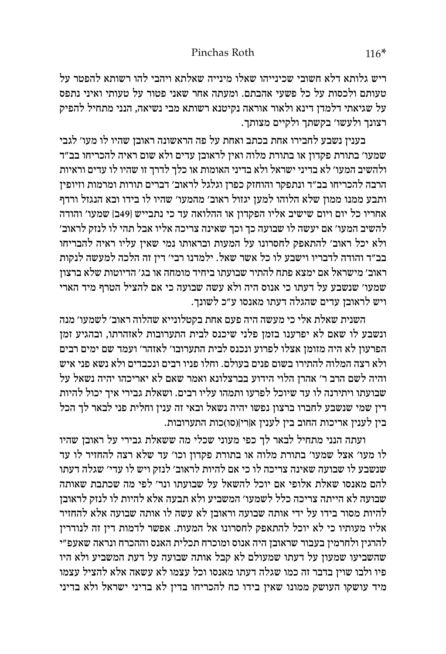ריש גלותא דלא חשובי שכינייהו שאלו מינייה שאלתא ויהבי להו רשותא להפטר על טעותם ולכסות על כל פשעי אהבתם. ומעתה אחר שאני פטור על טעותי ואיני נתפס על שגיאתי דלמדן דינא ולאור אוראה נקיטנא רשותא מבי נשיאה, הנני מתחיל להפיק רצונך ולעשו' בקשתך ולקיים מצותך.

בענין נשבע לחבירו אחת בכתב ואחת על פה הראשונה ראובן שהיו לו מעו' לגבי שמעו' בתורת פקדון או בתורת מלוה ואין לראובן עדים ולא שום ראיה להכריחו בב"ד ולהשיב המעו' לא בדיני ישראל ולא בדיני האומות או כלך לדרך זו שהיו לו עדים וראיות הרבה להכריחו בב"ד ונתפקר והוחזק כפרן וגלגל לראוב' דברים תורות ומרמות וזיופין ותבע ממנו ממון שלא הלוהו למען יגזול ראוב' מהמעו' שהיו לו בידו ובא הנגזל ורדף אחריו כל יום ויום שישיב אליו הפקדון או ההלואה עד כי נתבייש ]49ב[ שמעו' והודה להשיב המעו' אם יעשה לו שבועה כך וכך שאינה צריכה אליו אבל תהי לו לנזק לראוב' ולא יכל ראוב' להתאפק לחסרונו על המעות ובראותו נמי שאין עליו ראיה להבריחו בב"ד והודה לדבריו וישבע לו כל אשר שאל. ילמדנו רבי' דין זה הלכה למעשה לנקות ראוב' מישראל אם ימצא פתח להתיר שבועתו ביחיד מומחה או בג' הדיוטות שלא ברצון שמעו' שנשבע על דעתו כי אנוס היה ולא עשה שבועה כי אם להציל הטרף מיד הארי ויש לראובן עדים שהגלה דעתו מאנסו ע"כ לשונך.

השנית שאלת אלי כי מעשה היה פעם אחת בקטלונייא שהלוה ראוב' לשמעו' מנה ונשבע לו שאם לא יפרענו בזמן פלני שיכנס לבית התערובות לאזהרתו, ובהגיע זמן הפרעון לא היה מזומן אצלו לפרוע ונכנס לבית התערובו' לאזהר' ועמד שם ימים רבים ולא רצה המלוה להתירו בשום פנים בעולם. וחלו פניו רבים ונכבדים ולא נשא פני איש והיה לשם הרב ר' אהרן הלוי הידוע בברצלונא ואמר שאם לא יאריכהו יהיה נשאל על שבועתו ויתירנה לו עד שיוכל לפרעו ותמהו עליו רבים. ושאלת גבירי איך יכול להיות דין שמי שנשבע לחברו ברצון נפשו יהיה נשאל ובאי זה ענין וחלית פני לבאר לך הכל בין לענין אריכות החוב בין לענין א]רי[)סו(כות התערובות.

ועתה הנני מתחיל לבאר לך כפי מעוני שכלי מה ששאלת גבירי על ראובן שהיו לו מעו' אצל שמעו' בתורת מלוה או בתורת פקדון וכו' עד שלא רצה להחזיר לו עד שנשבע לו שבועה שאינה צריכה לו כי אם להיות לראוב' לנזק ויש לו עדי' שגלה דעתו להם מאנסו שאלת אלופי אם יוכל להשאל על שבועתו ונר' לפי מה שכתבת שאותה שבועה לא הייתה צריכה כלל לשמעו' המשביע ולא תבעה אלא להיות לו לנזק לראובן להיות מסור בידו על ידי אותה שבועה וראובן לא עשה לו אותה שבועה אלא להחזיר אליו מעותיו כי לא יוכל להתאפק לחסרונו אל המעות. אפשר לדמות דין זה לנודרין להרגין ולחרמין בעבור שראובן היה אנוס ומוכרח תכלית האנס וההכרח ונראה שאעפ"י שהשביעו שמעון על דעתו שמעולם לא קבל אותה שבועה על דעת המשביע ולא היו פיו ולבו שוין בדבר זה כמו שגלה דעתו מאנסו וכל עצמו לא עשאה אלא להציל עצמו מיד עושקו העושק ממונו שאין בידו כח להכריחו בדין לא בדיני ישראל ולא בדיני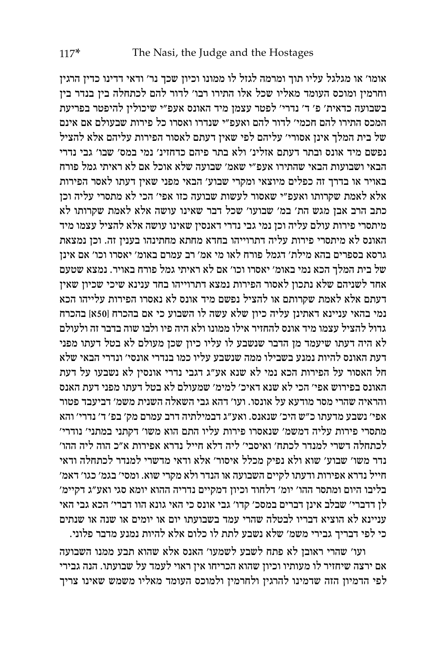אומו' או מגלגל עליו תוך ומרמה לגזל לו ממונו וכיון שכך נר' ודאי דדינו כדין הרגין וחרמין ומוכס העומד מאליו שכל אלו התירו רבו' לדור להם לכתחלה בין בנדר בין בשבועה כדאית' פ' ד' נדרי' לפטר עצמן מיד האונס אעפ"י שיכולין להיפטר בפריעת המכס התירו להם חכמי' לדור להם ואעפ"י שנדרו ואסרו כל פירות שבעולם אם אינם של בית המלך אינן אסורי' עליהם לפי שאין דעתם לאסור הפירות עליהם אלא להציל נפשם מיד אונס ובתר דעתם אזלינ' ולא בתר פיהם כדחזינ' נמי במס' שבו' גבי נדרי הבאי ושבועות הבאי שהתירו אעפ"י שאמ' שבועה שלא אוכל אם לא ראיתי גמל פורח באויר או בדרך זה כפלים מיוצאי ומקרי שבוע' הבאי מפני שאין דעתו לאסר הפירות אלא לאמת שקרותו ואעפ"י שאסור לעשות שבועה כזו אפי' הכי לא מתסרי עליה וכן כתב הרב אבן מגש הת' במ' שבועו' שכל דבר שאינו עושה אלא לאמת שקרותו לא מיתסרי פירות עולם עליה וכן נמי גבי נדרי דאנסין שאינו עושה אלא להציל עצמו מיד האונס לא מיתסרי פירות עליה דתרוייהו בחדא מחתא מחתינהו בענין זה. וכן נמצאת גרסא בספרים בהא מילת' דגמל פורח לאו מי אמ' רב עמרם באומ' יאסרו וכו' אם אינן של בית המלך הכא נמי באומ' יאסרו וכו' אם לא ראיתי גמל פורח באויר. נמצא שטעם אחד לשניהם שלא נתכון לאסור הפירות נמצא דתרוייהו בחד ענינא שיכי שכיון שאין דעתם אלא לאמת שקרותם או להציל נפשם מיד אונס לא נאסרו הפירות עלייהו הכא נמי בהאי עניינא דאתינן עליה כיון שלא עשה לו השבוע כי אם בהכרח ]50א[ בהכרח גדול להציל עצמו מיד אונס להחזיר אילו ממונו ולא היה פיו ולבו שוה בדבר זה ולעולם לא היה דעתו שיעמד מן הדבר שנשבע לו עליו כיון שכן מעולם לא בטל דעתו מפני דעת האונס להיות נמנע בשבילו ממה שנשבע עליו כמו בנדרי אונסי' ונדרי הבאי שלא חל האסור על הפירות הכא נמי לא שנא אע"ג דגבי נדרי אונסין לא נשבעו על דעת האונס בפירוש אפי' הכי לא שנא דאיכ' למימ' שמעולם לא בטל דעתו מפני דעת האנס והראיה שהרי מסר מודעא על אונסו. ועו' דהא גבי השאלה השנית משמ' דביעבד פטור אפי' נשבע מדעתו כ"ש היכ' שנאנס. ואע"ג דבמילתיה דרב עמרם מק' בפ' ד' נדרי' והא מתסרי פירות עליה דמשמ' שנאסרו פירות עליו התם הוא משו' דקתני במתני' נודרי' לכתחלה דשרי למנדר לכתח' ואיסבי' ליה דלא חייל נדרא אפירות א"כ הוה ליה ההו' נדר משו' שבוע' שוא ולא נפיק מכלל איסור' אלא ודאי מדשרי למנדר לכתחלה ודאי חייל נדרא אפירות ודעתו לקיים השבועה או הנדר ולא מקרי שוא. ומסי' בגמ' כגו' דאמ' בליבו היום ומתסר ההו' יומ' דלחוד וכיון דמקיים נדריה ההוא יומא סגי ואע"ג דקיימ' לן דדברי' שבלב אינן דברים במסכ' קדו' גבי אונס כי האי גונא הוו דברי' הכא גבי האי עניינא לא הוציא דבריו לבטלה שהרי עמד בשבועתו יום או יומים או שנה או שנתים כי לפי דבריך גבירי משמ' שלא נשבע לתת לו כלום אלא להיות נמנע מדבר פלוני.

ועו' שהרי ראובן לא פתח לשבע לשמעו' האנס אלא שהוא תבע ממנו השבועה אם ירצה שיחזיר לו מעותיו וכיון שהוא הכריחו אין ראוי לעמד על שבועתו. הנה גבירי לפי הדמיון הזה שדמינו להרגין ולחרמין ולמוכס העומד מאליו משמש שאינו צריך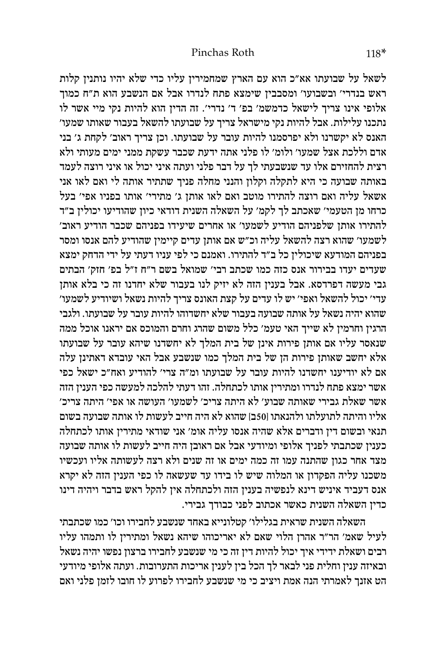לשאל על שבועתו אא"כ הוא עם הארץ שמחמירין עליו כדי שלא יהיו נותנין קלות ראש בנדרי' ובשבועו' ומסבבין שימצא פתח לנדרו אבל אם הנשבע הוא ת"ח כמוך אלופי אינו צריך לישאל כדמשמ' בפ' ד' נדרי'. זה הדין הוא להיות נקי מיי אשר לו נתכנו עלילות. אבל להיות נקי מישראל צריך על שבועתו להשאל בעבור שאותו שמעו' האנס לא יקשרנו ולא יפרסמנו להיות עובר על שבועתו. וכן צריך ראוב' לקחת ג' בני אדם וללכת אצל שמעו' ולומ' לו פלני אתה ידעת שכבר עשקת ממני ימים מעותי ולא רצית להחזירם אלו עד שנשבעתי לך על דבר פלני ועתה איני יכול או איני רוצה לעמד באותה שבועה כי היא לתקלה וקלון והנני מחלה פניך שתתיר אותה לי ואם לאו אני אשאל עליה ואם רוצה להתירו מוטב ואם לאו אותן ג' מתירי' אותו בפניו אפי' בעל כרחו מן הטעמי' שאכתב לך לקמ' על השאלה השנית דודאי כיון שהודיעו יכולין ב"ד להתירו אותן שלפניהם הודיע לשמעו' או אחרים שיעידו בפניהם שכבר הודיע ראוב' לשמעו' שהוא רצה להשאל עליה וכ"ש אם אותן עדים קיימין שהודיע להם אנסו ומסר בפניהם המודעא שיכולין כל ב"ד להתירו. ואמנם כי לפי עניו דעתי על ידי הדחק ימצא שעדים יעדו בבירור אנס כזה כמו שכתב רבי' שמואל בשם ר"ח ז"ל בפ' חזק' הבתים גבי מעשה דפרדסא. אבל בענין הזה לא יזיק לנו בעבור שלא יחדנו זה כי בלא אותן עדי' יכול להשאל ואפי' יש לו עדים על קצת האונס צריך להיות נשאל ושיודיע לשמעו' שהוא יהיה נשאל על אותה שבועה בעבור שלא יחשדוהו להיות עובר על שבועתו. ולגבי הרגין וחרמין לא שייך האי טעמ' כלל משום שהרג וחרם והמוכס אם יראנו אוכל ממה שנאסר עליו אם אותן פירות אינן של בית המלך לא יחשדנו שיהא עובר על שבועתו אלא יחשב שאותן פירות הן של בית המלך כמו שנשבע אבל האי עובדא דאתינן עלה אם לא יודיענו יחשדנו להיות עובר על שבועתו ומ"ה צרי' להודיע ואח"כ ישאל כפי אשר ימצא פתח לנדרו ומתירין אותו לכתחלה. זהו דעתי להלכה למעשה כפי הענין הזה אשר שאלת גבירי שאותה שבוע' לא היתה צריכ' לשמעו' העושה או אפי' היתה צריכ' אליו והיתה לתועלתו ולהנאתו ]50ב[ שהוא לא היה חייב לעשות לו אותה שבועה בשום תנאי ובשום דין ודברים אלא שהיה אנסו עליה אומ' אני שודאי מתירין אותו לכתחלה כענין שכתבתי לפניך אלופי ומיודעי אבל אם ראובן היה חייב לעשות לו אותה שבועה מצד אחר כגון שהתנה עמו זה כמה ימים או זה שנים ולא רצה לעשותה אליו ועכשיו משכנו עליה הפקדון או המלוה שיש לו בידו עד שעשאה לו כפי הענין הזה לא יקרא אנס דעביד איניש דינא לנפשיה בענין הזה ולכתחלה אין להקל ראש בדבר ויהיה דינו כדין השאלה השנית כאשר אכתוב לפני כבודך גבירי.

השאלה השנית שראית בגלילו' קטלונייא באחד שנשבע לחבירו וכו' כמו שכתבתי לעיל שאמ' הר"ר אהרן הלוי שאם לא יאריכוהו שיהא נשאל ומתירין לו ותמהו עליו רבים ושאלת ידידי איך יכול להיות דין זה כי מי שנשבע לחבירו ברצון נפשו יהיה נשאל ובאיזה ענין וחלית פני לבאר לך הכל בין לענין אריכות התערובות. ועתה אלופי מיודעי הט אזנך לאמרתי הנה אמת ויציב כי מי שנשבע לחבירו לפרוע לו חובו לזמן פלני ואם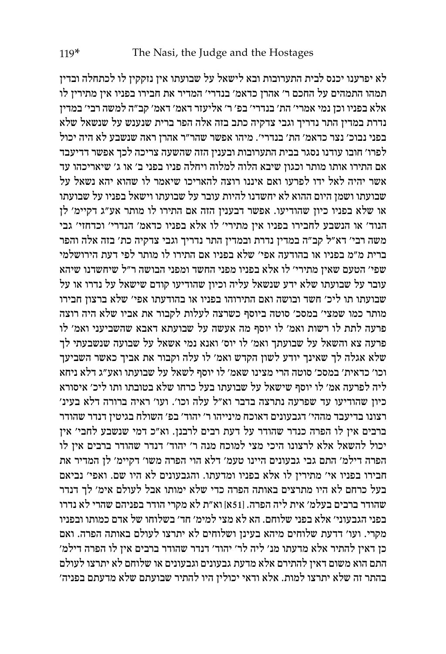לא יפרענו יכנס לבית התערובות ובא לישאל על שבועתו אין נזקקין לו לכתחלה ובדין תמהו התמהים על החכם ר' אהרן כדאמ' בנדרי' המדיר את חבירו בפניו אין מתירין לו אלא בפניו וכן נמי אמרי' הת' בנדרי' בפ' ר' אליעזר דאמ' דאמ' קב"ה למשה רבי' במדין נדרת במדין התר נדריך וגבי צדקיה כתב בזה אלה הפר ברית שנענש על שנשאל שלא בפני נבוכ' נצר כדאמ' הת' בנדרי'. מיהו אפשר שהר"ר אהרן ראה שנשבע לא היה יכול לפרו' חובו עודנו נסגר בבית התערובות ובענין הזה שהשעה צריכה לכך אפשר דדיעבד אם התירו אותו מותר וכגון שיבא הלוה למלוה ויחלה פניו בפני ב' או ג' שיאריכהו עד אשר יהיה לאל ידו לפרעו ואם איננו רוצה להאריכו שיאמר לו שהוא יהא נשאל על שבועתו ושמן היום ההוא לא יחשדנו להיות עובר על שבועתו וישאל בפניו על שבועתו או שלא בפניו כיון שהודיעו. אפשר דבענין הזה אם התירו לו מותר אע"ג דקיימ' לן הנוד' או הנשבע לחבירו בפניו אין מתירי' לו אלא בפניו כדאמ' הנדרי' וכדחזי' גבי משה רבי' דא"ל קב"ה במדין נדרת ובמדין התר נדריך וגבי צדקיה כת' בזה אלה והפר ברית מ"מ בפניו או בהודעה אפי' שלא בפניו אם התירו לו מותר לפי דעת הירושלמי שפי' הטעם שאין מתירי' לו אלא בפניו מפני החשד ומפני הבושה ר"ל שיחשדנו שיהא עובר על שבועתו שלא ידע שנשאל עליה וכיון שהודיעו קודם שישאל על נדרו או על שבועתו תו ליכ' חשד ובושה ואם התירוהו בפניו או בהודעתו אפי' שלא ברצון חבירו מותר כמו שמצי' במסכ' סוטה ביוסף כשרצה לעלות לקבור את אביו שלא היה רוצה פרעה לתת לו רשות ואמ' לו יוסף מה אעשה על שבועתא דאבא שהשביעני ואמ' לו פרעה צא והשאל על שבועתך ואמ' לו יוס' ואנא נמי אשאל על שבועה שנשבעתי לך שלא אגלה לך שאינך יודע לשון הקדש ואמ' לו עלה וקבור את אביך כאשר השביעך וכו' כדאית' במסכ' סוטה הרי מצינו שאמ' לו יוסף לשאל על שבועתו ואע"ג דלא ניחא ליה לפרעה אמ' לו יוסף שישאל על שבועתו בעל כרחו שלא בטובתו ותו ליכ' איסורא כיון שהודיעו עד שפרעה נתרצה בדבר וא"ל עלה וכו'. ועו' ראיה ברורה דלא בעינ' רצונו בדיעבד מההי' דגבעונים דאוכח מינייהו ר' יהוד' בפ' השולח בגיטין דנדר שהודר ברבים אין לו הפרה כנדר שהודר על דעת רבים לרבנן. וא"כ דמי שנשבע לחבי' אין יכול להשאל אלא לרצונו היכי מצי למוכח מנה ר' יהוד' דנדר שהודר ברבים אין לו הפרה דילמ' התם גבי גבעונים היינו טעמ' דלא הוי הפרה משו' דקיימ' לן המדיר את חבירו בפניו אי' מתירין לו אלא בפניו ומדעתו. והגבעונים לא היו שם. ואפי' נביאם בעל כרחם לא היו מתרצים באותה הפרה כדי שלא ימותו אבל לעולם אימ' לך דנדר שהודר ברבים בעלמ' אית ליה הפרה. ]51א[ וא"ת לא מקרי הודר בפניהם שהרי לא נדרו בפני הגבעוני' אלא בפני שלוחם. הא לא מצי למימ' חד' בשלוחו של אדם כמותו ובפניו מקרי. ועו' דדעת שלוחים מיהא בעינן ושלוחים לא יתרצו לעולם באותה הפרה. ואם כן דאין להתיר אלא מדעתו מנ' ליה לר' יהוד' דנדר שהודר ברבים אין לו הפרה דילמ' התם הוא משום דאין להתירם אלא מדעת גבעונים וגבעונים או שלוחם לא יתרצו לעולם בהתר זה שלא יתרצו למות. אלא ודאי יכולין היו להתיר שבועתם שלא מדעתם בפניה'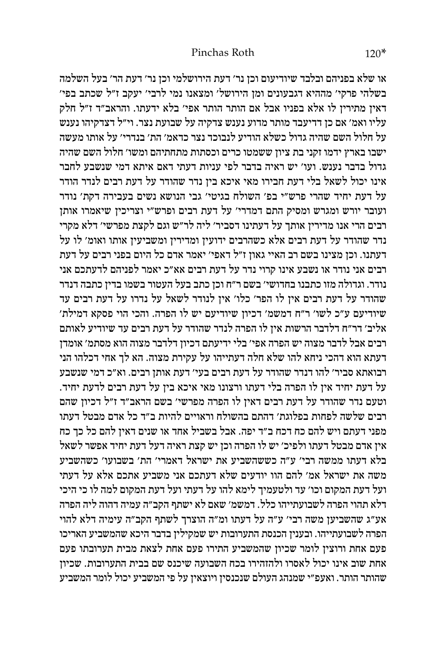או שלא בפניהם ובלבד שיודיעום וכן נר' דעת הירושלמי וכן נר' דעת הר' בעל השלמה בשלהי פרקי' מההיא דגבעונים ומן הירושל' ומצאנו נמי לרבי' יעקב ז"ל שכתב בפי' דאין מתירין לו אלא בפניו אבל אם הותר הותר אפי' בלא ידעתו. והראב"ד ז"ל חלק עליו ואמ' אם כן דדיעבד מותר מדוע נענש צדקיה על שבועת נצר. וי"ל דצדקיהו נענש על חלול השם שהיה גדול כשלא הודיע לנבוכד נצר כדאמ' הת' בנדרי' על אותו מעשה ישבו בארץ ידמו זקני בת ציון ששמטו כרים וכסתות מתחתיהם ומשו' חלול השם שהיה גדול בדבר נענש. ועו' יש ראיה בדבר לפי עניות דעתי דאם איתא דמי שנשבע לחבר אינו יכול לשאל בלי דעת חבירו מאי איכא בין נדר שהודר על דעת רבים לנדר הודר על דעת יחיד שהרי פרש"י בפ' השולח בגיטי' גבי הנושא נשים בעבירה דקת' נודר ועובר יורש ומגרש ומסיק התם דמדרי' על דעת רבים ופרש"י וצריכין שיאמרו אותן רבים הרי אנו מדירין אותך על דעתינו דסביר' ליה לר"ש וגם לקצת מפרשי' דלא מקרי נדר שהודר על דעת רבים אלא כשהרבים ידועין ומדירין ומשביעין אותו ואומ' לו על דעתנו. וכן מצינו בשם רב האיי גאון ז"ל דאפי' יאמר אדם כל היום בפני רבים על דעת רבים אני נודר או נשבע אינו קרוי נדר על דעת רבים אא"כ יאמר לפניהם לדעתכם אני נודר. וגדולה מזו כתבנו בחדושי' בשם ר"ח וכן כתב בעל העטור בשמו בדין כתבה דנדר שהודר על דעת רבים אין לו הפר' כלו' אין לנודר לשאל על נדרו על דעת רבים עד שיודיעם ע"כ לשו' ר"ח דמשמ' דכיון שיודיעם יש לו הפרה. והכי הוי פסקא דמילת' אליב' דר"ח דלדבר הרשות אין לו הפרה לנדר שהודר על דעת רבים עד שיודיע לאותם רבים אבל לדבר מצוה יש הפרה אפי' בלי ידיעתם דכיון דלדבר מצוה הוא מסתמ' אומדן דעתא הוא דהכי ניחא להו שלא חלה דעתייהו על עקירת מצוה. הא לך אחי דכלהו הני רבואתא סביר' להו דנדר שהודר על דעת רבים בעי' דעת אותן רבים. וא"כ דמי שנשבע על דעת יחיד אין לו הפרה בלי דעתו ורצונו מאי איכא בין על דעת רבים לדעת יחיד. וטעם נדר שהודר על דעת רבים דאין לו הפרה מפרשי' בשם הראב"ד ז"ל דכיון שהם רבים שלשה לפחות בפלוגת' דהתם בהשולח וראויים להיות ב"ד כל אדם מבטל דעתו מפני דעתם ויש להם כח דכח ב"ד יפה. אבל בשביל אחד או שנים דאין להם כל כך כח אין אדם מבטל דעתו ולפיכ' יש לו הפרה וכן יש קצת ראיה דעל דעת יחיד אפשר לשאל בלא דעתו ממשה רבי' ע"ה כששהשביע את ישראל דאמרי' הת' בשבועו' כשהשביע משה את ישראל אמ' להם הוו יודעים שלא דעתכם אני משביע אתכם אלא על דעתי ועל דעת המקום וכו' עד ולטעמיך לימא להו על דעתי ועל דעת המקום למה לו כי היכי דלא תהוי הפרה לשבועתייהו כלל. דמשמ' שאם לא ישתף הקב"ה עמיה דהוה ליה הפרה אע"ג שהשביען משה רבי' ע"ה על דעתו ומ"ה הוצרך לשתף הקב"ה עימיה דלא להוי הפרה לשבועתייהו. ובענין הכנסת התערובות יש שמקילין בדבר היכא שהמשביע האריכו פעם אחת ורוצין לומר שכיון שהמשביע התירו פעם אחת לצאת מבית תערובתו פעם אחת שוב אינו יכול לאסרו ולהזהירו בכח השבועה שיכנס שם בבית התערובות. שכיון שהותר הותר. ואעפ"י שמנהג העולם שנכנסין ויוצאין על פי המשביע יכול לומר המשביע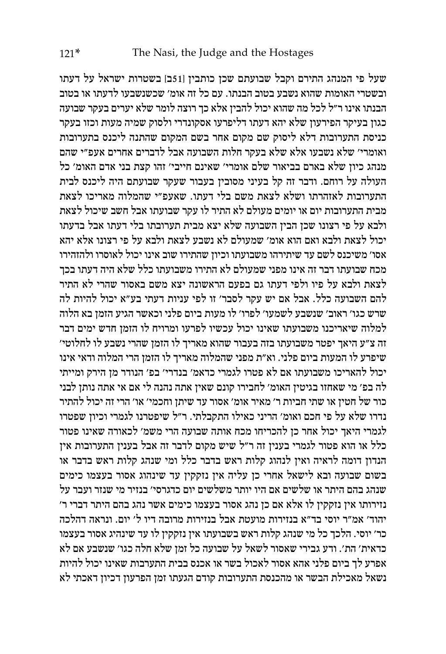שעל פי המנהג התירם וקבל שבועתם שכן כותבין ]51ב[ בשטרות ישראל על דעתו ובשטרי האומות שהוא נשבע בטוב הבנתו. עם כל זה אומ' שכשנשבעו לדעתו או בטוב הבנתו אינו ר"ל לכל מה שהוא יכול להבין אלא כך רוצה לומר שלא יערים בעקר שבועה כגון בעיקר הפירעון שלא יהא דעתו דליפרעו אסקונדרי ולסוק שמיה מעות וכזו בעקר כניסת התערובות דלא ליסוק שם מקום אחר בשם המקום שהתנה ליכנס בתערובות ואומרי' שלא נשבעו אלא שלא בעקר חלות השבועה אבל לדברים אחרים אעפ"י שהם מנהג כיון שלא בארם בביאור שלם אומרי' שאינם חייבי' זהו קצת בני אדם האומ' כל העולה על רוחם. ודבר זה קל בעיני מסובין בעבור שעקר שבועתם היה ליכנס לבית התערובות לאזהרתו ושלא לצאת משם בלי דעתו. שאעפ"י שהמלוה מאריכו לצאת מבית התערובות יום או יומים מעולם לא התיר לו עקר שבועתו אבל חשב שיכול לצאת ולבא על פי רצונו שכן הבין השבועה שלא יצא מבית תערובתו בלי דעתו אבל בדעתו יכול לצאת ולבא ואם הוא אומ' שמעולם לא נשבע לצאת ולבא על פי רצונו אלא יהא אסו' משיכנס לשם עד שיתירהו משבועתו וכיון שהתירו שוב אינו יכול לאוסרו ולהזהירו מכח שבועתו דבר זה אינו מפני שמעולם לא התירו משבועתו כלל שלא היה דעתו בכך לצאת ולבא על פיו ולפי דעתו גם בפעם הראשונה יצא משם באסור שהרי לא התיר להם השבועה כלל. אבל אם יש עקר לסבר' זו לפי עניות דעתי בע"א יכול להיות לה שרש כגו' ראוב' שנשבע לשמעו' לפרו' לו מעות ביום פלני וכאשר הגיע הזמן בא הלוה למלוה שיאריכנו משבועתו שאינו יכול עכשיו לפרעו ומרויח לו הזמן חדש ימים דבר זה צ"ע היאך יפטר משבועתו בזה בעבור שהוא מאריך לו הזמן שהרי נשבע לו לחלוטי' שיפרע לו המעות ביום פלני. וא"ת מפני שהמלוה מאריך לו הזמן הרי המלוה ודאי אינו יכול להאריכו משבועתו אם לא פטרו לגמרי כדאמ' בנדרי' בפ' הנודר מן הירק ומייתי לה בפ' מי שאחזו בגיטין האומ' לחבירו קונם שאין אתה נהנה לי אם אי אתה נותן לבני כור של חטין או שתי חביות ר' מאיר אומ' אסור עד שיתן וחכמי' או' הרי זה יכול להתיר נדרו שלא על פי חכם ואומ' הריני כאילו התקבלתי. ר"ל שיפטרנו לגמרי וכיון שפטרו לגמרי היאך יכול אחר כן להכריחו מכח אותה שבועה הרי משמ' לכאורה שאינו פטור כלל או הוא פטור לגמרי בענין זה ר"ל שיש מקום לדבר זה אבל בענין התערובות אין הנדון דומה לראיה ואין לנהוג קלות ראש בדבר כלל ומי שנהג קלות ראש בדבר או בשום שבועה ובא לישאל אחרי כן עליה אין נזקקין עד שינהוג אסור בעצמו כימים שנהג בהם היתר או שלשים אם היו יותר משלשים יום כדגרסי' בנזיר מי שנזר ועבר על נזירותו אין נזקקין לו אלא אם כן נהג אסור בעצמו כימים אשר נהג בהם היתר דברי ר' יהוד' אמ"ר יוסי בד"א בנזירות מועטת אבל בנזירות מרובה דיו ל' יום. ונראה דהלכה כר' יוסי. הלכך כל מי שנהג קלות ראש בשבועתו אין נזקקין לו עד שינהיג אסור בעצמו כדאית' הת'. ודע גבירי שאסור לשאל על שבועה כל זמן שלא חלה כגו' שנשבע אם לא אפרע לך ביום פלני אהא אסור לאכול בשר או אכנס בבית התערבות שאינו יכול להיות נשאל מאכילת הבשר או מהכנסת התערובות קודם הגעתו זמן הפרעון דכיון דאכתי לא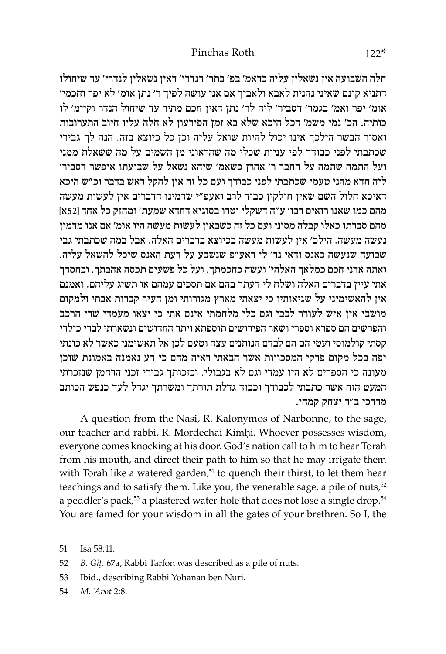חלה השבועה אין נשאלין עליה כדאמ' בפ' בתר' דנדרי' דאין נשאלין לנדרי' עד שיחולו דתניא קונם שאיני נהנית לאבא ולאביך אם אני עושה לפיך ר' נתן אומ' לא יפר וחכמי' אומ' יפר ואמ' בגמר' דסביר' ליה לר' נתן דאין חכם מתיר עד שיחול הנדר וקיימ' לו כותיה. הכ' נמי משמ' דכל היכא שלא בא זמן הפירעון לא חלה עליו חיוב התערובות ואסור הבשר הילכך אינו יכול להיות שואל עליה וכן כל כיוצא בזה. הנה לך גבירי שכתבתי לפני כבודך לפי עניות שכלי מה שהראוני מן השמים על מה ששאלת ממני ועל התמה שתמה על החבר ר' אהרן כשאמ' שיהא נשאל על שבועתו איפשר דסביר' ליה חדא מהני טעמי שכתבתי לפני כבודך ועם כל זה אין להקל ראש בדבר וכ"ש היכא דאיכא חלול השם שאין חולקין כבוד לרב ואעפ"י שדמינו הדברים אין לעשות מעשה מהם כמו שאנו רואים רבו' ע"ה דשקלי וטרו בסוגיא דחדא שמעת' ומחזק כל אחד ]52א[ מהם סברתו כאלו קבלה מסיני ועם כל זה כשבאין לעשות מעשה היו אומ' אם אנו מדמין נעשה מעשה. הילכ' אין לעשות מעשה בכיוצא בדברים האלה. אבל במה שכתבתי גבי שבועה שנעשה כאנס ודאי נר' לי דאע"פ שנשבע על דעת האנס שיכל להשאל עליה. ואתה אדני חכם כמלאך האלהי' ועשה כחכמתך. ועל כל פשעים תכסה אהבתך. ובחסדך אתי עיין בדברים האלה ושלח לי דעתך בהם אם תסכים עמהם או תשיג עליהם. ואמנם אין להאשימיני על שגיאותיו כי יצאתי מארץ מגורותי ומן העיר קברות אבתי ולמקום מושבי אין איש לעורר לבבי וגם כלי מלחמתי אינם אתי כי יצאו מעמדי שרי הרכב והפרשים הם ספרא וספרי ושאר הפירושים תוספתא ויתר החדושים ונשארתי לבדי כילדי קסתי קולמוסי ועטי הם הם לבדם הנותנים עצה וטעם לכן אל תאשימני כאשר לא כונתי יפה בכל מקום פרקי המסכויות אשר הבאתי ראיה מהם כי דע נאמנה באמונת שוכן מעונה כי הספרים לא היו עמדי וגם לא בגבולי. ובזכותך גבירי זכני הרחמן שנזכרתי המעט הזה אשר כתבתי לכבודך וכבוד גדלת תורתך ומשרתך יגדל לעד כנפש הכותב מרדכי ב"ר יצחק קמחי.

A question from the Nasi, R. Kalonymos of Narbonne, to the sage, our teacher and rabbi, R. Mordechai Kimhi. Whoever possesses wisdom, everyone comes knocking at his door. God's nation call to him to hear Torah from his mouth, and direct their path to him so that he may irrigate them with Torah like a watered garden, $51$  to quench their thirst, to let them hear teachings and to satisfy them. Like you, the venerable sage, a pile of nuts,<sup>52</sup> a peddler's pack,<sup>53</sup> a plastered water-hole that does not lose a single drop.<sup>54</sup> You are famed for your wisdom in all the gates of your brethren. So I, the

51 Isa 58:11.

52 *B. Giû.* 67a, Rabbi Tarfon was described as a pile of nuts.

53 Ibid., describing Rabbi Yohanan ben Nuri.

54 *M. 'Avot* 2:8.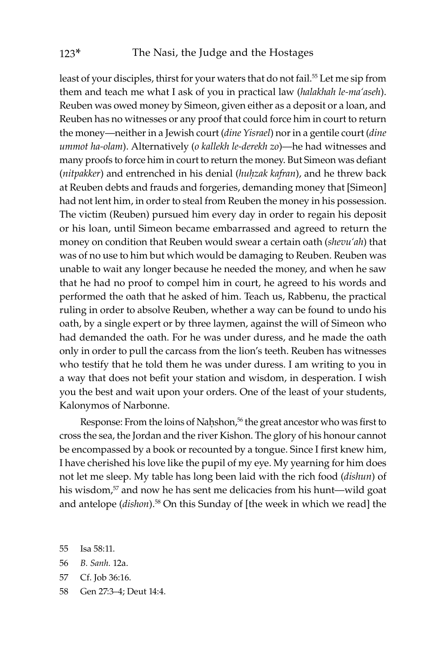least of your disciples, thirst for your waters that do not fail.<sup>55</sup> Let me sip from them and teach me what I ask of you in practical law (*halakhah le-ma'aseh*). Reuben was owed money by Simeon, given either as a deposit or a loan, and Reuben has no witnesses or any proof that could force him in court to return the money—neither in a Jewish court (*dine Yisrael*) nor in a gentile court (*dine ummot ha-olam*). Alternatively (*o kallekh le-derekh zo*)—he had witnesses and many proofs to force him in court to return the money. But Simeon was defiant (*nitpakker*) and entrenched in his denial (*huḥzak kafran*), and he threw back at Reuben debts and frauds and forgeries, demanding money that [Simeon] had not lent him, in order to steal from Reuben the money in his possession. The victim (Reuben) pursued him every day in order to regain his deposit or his loan, until Simeon became embarrassed and agreed to return the money on condition that Reuben would swear a certain oath (*shevu'ah*) that was of no use to him but which would be damaging to Reuben. Reuben was unable to wait any longer because he needed the money, and when he saw that he had no proof to compel him in court, he agreed to his words and performed the oath that he asked of him. Teach us, Rabbenu, the practical ruling in order to absolve Reuben, whether a way can be found to undo his oath, by a single expert or by three laymen, against the will of Simeon who had demanded the oath. For he was under duress, and he made the oath only in order to pull the carcass from the lion's teeth. Reuben has witnesses who testify that he told them he was under duress. I am writing to you in a way that does not befit your station and wisdom, in desperation. I wish you the best and wait upon your orders. One of the least of your students, Kalonymos of Narbonne.

Response: From the loins of Nahshon,<sup>56</sup> the great ancestor who was first to cross the sea, the Jordan and the river Kishon. The glory of his honour cannot be encompassed by a book or recounted by a tongue. Since I first knew him, I have cherished his love like the pupil of my eye. My yearning for him does not let me sleep. My table has long been laid with the rich food (*dishun*) of his wisdom,<sup>57</sup> and now he has sent me delicacies from his hunt—wild goat and antelope (*dishon*).<sup>58</sup> On this Sunday of [the week in which we read] the

- 57 Cf. Job 36:16.
- 58 Gen 27:3–4; Deut 14:4.

<sup>55</sup> Isa 58:11.

<sup>56</sup> *B. Sanh.* 12a.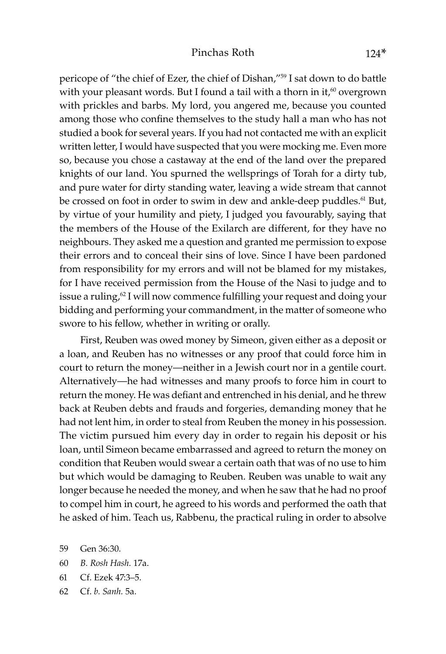pericope of "the chief of Ezer, the chief of Dishan,"59 I sat down to do battle with your pleasant words. But I found a tail with a thorn in it, $60$  overgrown with prickles and barbs. My lord, you angered me, because you counted among those who confine themselves to the study hall a man who has not studied a book for several years. If you had not contacted me with an explicit written letter, I would have suspected that you were mocking me. Even more so, because you chose a castaway at the end of the land over the prepared knights of our land. You spurned the wellsprings of Torah for a dirty tub, and pure water for dirty standing water, leaving a wide stream that cannot be crossed on foot in order to swim in dew and ankle-deep puddles.<sup>61</sup> But, by virtue of your humility and piety, I judged you favourably, saying that the members of the House of the Exilarch are different, for they have no neighbours. They asked me a question and granted me permission to expose their errors and to conceal their sins of love. Since I have been pardoned from responsibility for my errors and will not be blamed for my mistakes, for I have received permission from the House of the Nasi to judge and to issue a ruling,<sup>62</sup> I will now commence fulfilling your request and doing your bidding and performing your commandment, in the matter of someone who swore to his fellow, whether in writing or orally.

First, Reuben was owed money by Simeon, given either as a deposit or a loan, and Reuben has no witnesses or any proof that could force him in court to return the money—neither in a Jewish court nor in a gentile court. Alternatively—he had witnesses and many proofs to force him in court to return the money. He was defiant and entrenched in his denial, and he threw back at Reuben debts and frauds and forgeries, demanding money that he had not lent him, in order to steal from Reuben the money in his possession. The victim pursued him every day in order to regain his deposit or his loan, until Simeon became embarrassed and agreed to return the money on condition that Reuben would swear a certain oath that was of no use to him but which would be damaging to Reuben. Reuben was unable to wait any longer because he needed the money, and when he saw that he had no proof to compel him in court, he agreed to his words and performed the oath that he asked of him. Teach us, Rabbenu, the practical ruling in order to absolve

- 60 *B. Rosh Hash.* 17a.
- 61 Cf. Ezek 47:3–5.
- 62 Cf. *b. Sanh.* 5a.

<sup>59</sup> Gen 36:30.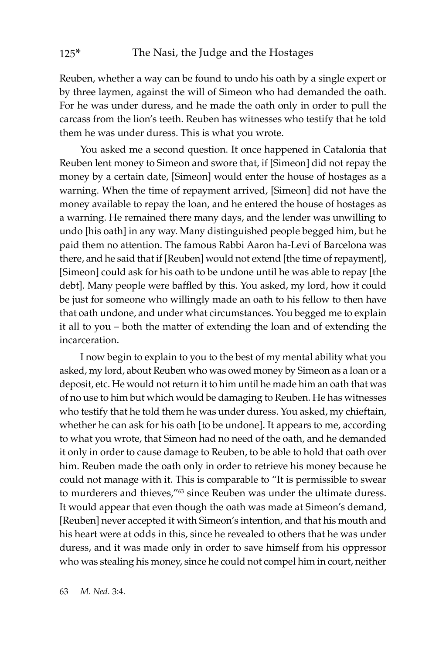Reuben, whether a way can be found to undo his oath by a single expert or by three laymen, against the will of Simeon who had demanded the oath. For he was under duress, and he made the oath only in order to pull the carcass from the lion's teeth. Reuben has witnesses who testify that he told them he was under duress. This is what you wrote.

You asked me a second question. It once happened in Catalonia that Reuben lent money to Simeon and swore that, if [Simeon] did not repay the money by a certain date, [Simeon] would enter the house of hostages as a warning. When the time of repayment arrived, [Simeon] did not have the money available to repay the loan, and he entered the house of hostages as a warning. He remained there many days, and the lender was unwilling to undo [his oath] in any way. Many distinguished people begged him, but he paid them no attention. The famous Rabbi Aaron ha-Levi of Barcelona was there, and he said that if [Reuben] would not extend [the time of repayment], [Simeon] could ask for his oath to be undone until he was able to repay [the debt]. Many people were baffled by this. You asked, my lord, how it could be just for someone who willingly made an oath to his fellow to then have that oath undone, and under what circumstances. You begged me to explain it all to you – both the matter of extending the loan and of extending the incarceration.

I now begin to explain to you to the best of my mental ability what you asked, my lord, about Reuben who was owed money by Simeon as a loan or a deposit, etc. He would not return it to him until he made him an oath that was of no use to him but which would be damaging to Reuben. He has witnesses who testify that he told them he was under duress. You asked, my chieftain, whether he can ask for his oath [to be undone]. It appears to me, according to what you wrote, that Simeon had no need of the oath, and he demanded it only in order to cause damage to Reuben, to be able to hold that oath over him. Reuben made the oath only in order to retrieve his money because he could not manage with it. This is comparable to "It is permissible to swear to murderers and thieves,"<sup>63</sup> since Reuben was under the ultimate duress. It would appear that even though the oath was made at Simeon's demand, [Reuben] never accepted it with Simeon's intention, and that his mouth and his heart were at odds in this, since he revealed to others that he was under duress, and it was made only in order to save himself from his oppressor who was stealing his money, since he could not compel him in court, neither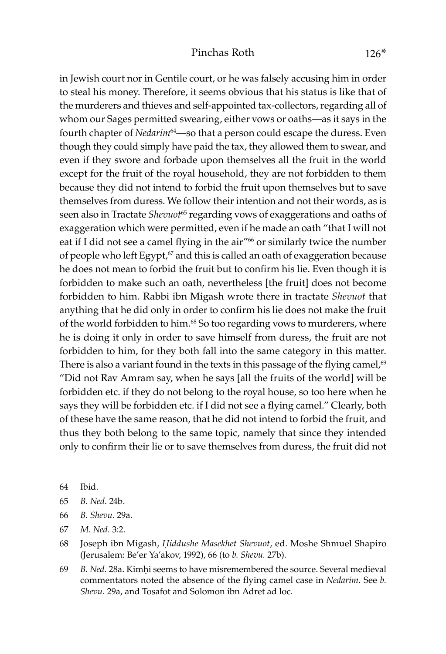#### Pinchas Roth 126<sup>\*</sup>

in Jewish court nor in Gentile court, or he was falsely accusing him in order to steal his money. Therefore, it seems obvious that his status is like that of the murderers and thieves and self-appointed tax-collectors, regarding all of whom our Sages permitted swearing, either vows or oaths—as it says in the fourth chapter of *Nedarim*<sup>64</sup>—so that a person could escape the duress. Even though they could simply have paid the tax, they allowed them to swear, and even if they swore and forbade upon themselves all the fruit in the world except for the fruit of the royal household, they are not forbidden to them because they did not intend to forbid the fruit upon themselves but to save themselves from duress. We follow their intention and not their words, as is seen also in Tractate *Shevuot*65 regarding vows of exaggerations and oaths of exaggeration which were permitted, even if he made an oath "that I will not eat if I did not see a camel flying in the air"<sup>66</sup> or similarly twice the number of people who left Egypt,<sup>67</sup> and this is called an oath of exaggeration because he does not mean to forbid the fruit but to confirm his lie. Even though it is forbidden to make such an oath, nevertheless [the fruit] does not become forbidden to him. Rabbi ibn Migash wrote there in tractate *Shevuot* that anything that he did only in order to confirm his lie does not make the fruit of the world forbidden to him.<sup>68</sup> So too regarding vows to murderers, where he is doing it only in order to save himself from duress, the fruit are not forbidden to him, for they both fall into the same category in this matter. There is also a variant found in the texts in this passage of the flying camel, $69$ "Did not Rav Amram say, when he says [all the fruits of the world] will be forbidden etc. if they do not belong to the royal house, so too here when he says they will be forbidden etc. if I did not see a flying camel." Clearly, both of these have the same reason, that he did not intend to forbid the fruit, and thus they both belong to the same topic, namely that since they intended only to confirm their lie or to save themselves from duress, the fruit did not

- 64 Ibid.
- 65 *B. Ned.* 24b.
- 66 *B. Shevu.* 29a.
- 67 *M. Ned.* 3:2.
- 68 Joseph ibn Migash, *Êiddushe Masekhet Shevuot*, ed. Moshe Shmuel Shapiro (Jerusalem: Be'er Ya'akov, 1992), 66 (to *b. Shevu.* 27b).
- 69 B. Ned. 28a. Kimhi seems to have misremembered the source. Several medieval commentators noted the absence of the flying camel case in *Nedarim*. See *b. Shevu.* 29a, and Tosafot and Solomon ibn Adret ad loc.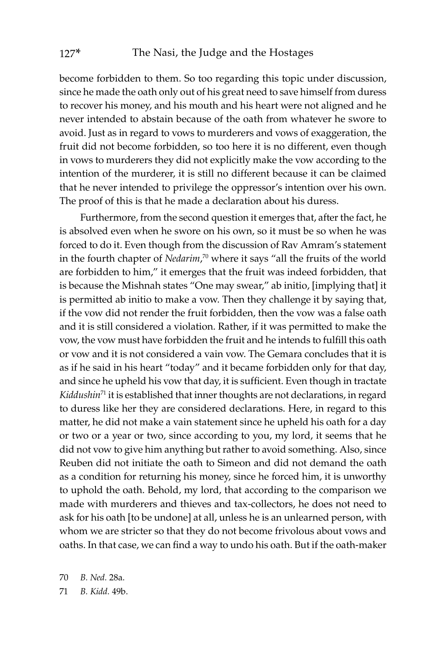become forbidden to them. So too regarding this topic under discussion, since he made the oath only out of his great need to save himself from duress to recover his money, and his mouth and his heart were not aligned and he never intended to abstain because of the oath from whatever he swore to avoid. Just as in regard to vows to murderers and vows of exaggeration, the fruit did not become forbidden, so too here it is no different, even though in vows to murderers they did not explicitly make the vow according to the intention of the murderer, it is still no different because it can be claimed that he never intended to privilege the oppressor's intention over his own. The proof of this is that he made a declaration about his duress.

Furthermore, from the second question it emerges that, after the fact, he is absolved even when he swore on his own, so it must be so when he was forced to do it. Even though from the discussion of Rav Amram's statement in the fourth chapter of *Nedarim*, 70 where it says "all the fruits of the world are forbidden to him," it emerges that the fruit was indeed forbidden, that is because the Mishnah states "One may swear," ab initio, [implying that] it is permitted ab initio to make a vow. Then they challenge it by saying that, if the vow did not render the fruit forbidden, then the vow was a false oath and it is still considered a violation. Rather, if it was permitted to make the vow, the vow must have forbidden the fruit and he intends to fulfill this oath or vow and it is not considered a vain vow. The Gemara concludes that it is as if he said in his heart "today" and it became forbidden only for that day, and since he upheld his vow that day, it is sufficient. Even though in tractate *Kiddushin*71 it is established that inner thoughts are not declarations, in regard to duress like her they are considered declarations. Here, in regard to this matter, he did not make a vain statement since he upheld his oath for a day or two or a year or two, since according to you, my lord, it seems that he did not vow to give him anything but rather to avoid something. Also, since Reuben did not initiate the oath to Simeon and did not demand the oath as a condition for returning his money, since he forced him, it is unworthy to uphold the oath. Behold, my lord, that according to the comparison we made with murderers and thieves and tax-collectors, he does not need to ask for his oath [to be undone] at all, unless he is an unlearned person, with whom we are stricter so that they do not become frivolous about vows and oaths. In that case, we can find a way to undo his oath. But if the oath-maker

70 *B. Ned.* 28a.

71 *B. Kidd.* 49b.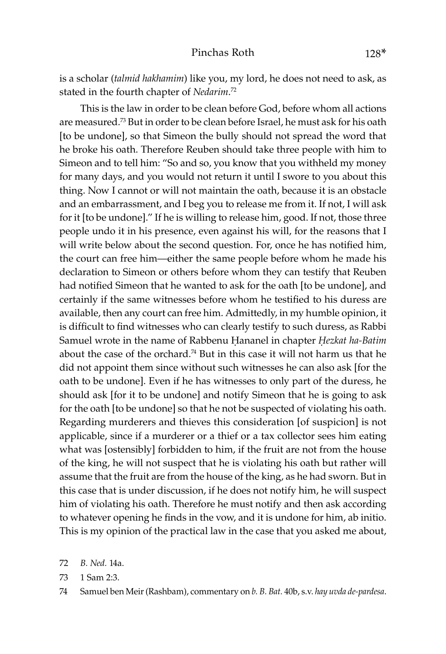is a scholar (*talmid hakhamim*) like you, my lord, he does not need to ask, as stated in the fourth chapter of *Nedarim*. 72

This is the law in order to be clean before God, before whom all actions are measured.73 But in order to be clean before Israel, he must ask for his oath [to be undone], so that Simeon the bully should not spread the word that he broke his oath. Therefore Reuben should take three people with him to Simeon and to tell him: "So and so, you know that you withheld my money for many days, and you would not return it until I swore to you about this thing. Now I cannot or will not maintain the oath, because it is an obstacle and an embarrassment, and I beg you to release me from it. If not, I will ask for it [to be undone]." If he is willing to release him, good. If not, those three people undo it in his presence, even against his will, for the reasons that I will write below about the second question. For, once he has notified him, the court can free him—either the same people before whom he made his declaration to Simeon or others before whom they can testify that Reuben had notified Simeon that he wanted to ask for the oath [to be undone], and certainly if the same witnesses before whom he testified to his duress are available, then any court can free him. Admittedly, in my humble opinion, it is difficult to find witnesses who can clearly testify to such duress, as Rabbi Samuel wrote in the name of Rabbenu Hananel in chapter *Hezkat ha-Batim* about the case of the orchard.<sup>74</sup> But in this case it will not harm us that he did not appoint them since without such witnesses he can also ask [for the oath to be undone]. Even if he has witnesses to only part of the duress, he should ask [for it to be undone] and notify Simeon that he is going to ask for the oath [to be undone] so that he not be suspected of violating his oath. Regarding murderers and thieves this consideration [of suspicion] is not applicable, since if a murderer or a thief or a tax collector sees him eating what was [ostensibly] forbidden to him, if the fruit are not from the house of the king, he will not suspect that he is violating his oath but rather will assume that the fruit are from the house of the king, as he had sworn. But in this case that is under discussion, if he does not notify him, he will suspect him of violating his oath. Therefore he must notify and then ask according to whatever opening he finds in the vow, and it is undone for him, ab initio. This is my opinion of the practical law in the case that you asked me about,

72 *B. Ned.* 14a.

73 1 Sam 2:3.

<sup>74</sup> Samuel ben Meir (Rashbam), commentary on *b. B. Bat.* 40b, s.v. *hay uvda de-pardesa*.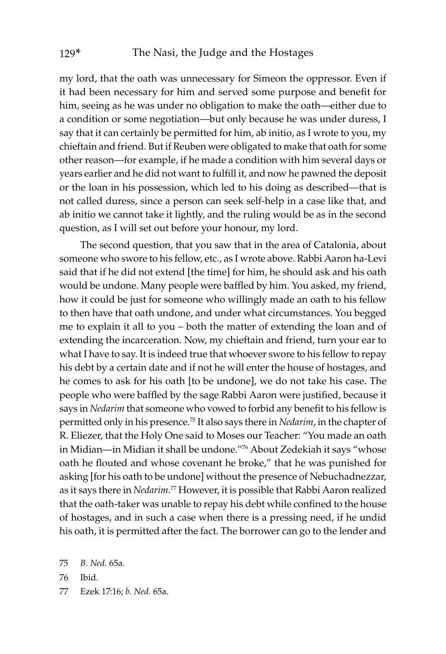my lord, that the oath was unnecessary for Simeon the oppressor. Even if it had been necessary for him and served some purpose and benefit for him, seeing as he was under no obligation to make the oath—either due to a condition or some negotiation—but only because he was under duress, I say that it can certainly be permitted for him, ab initio, as I wrote to you, my chieftain and friend. But if Reuben were obligated to make that oath for some other reason—for example, if he made a condition with him several days or years earlier and he did not want to fulfill it, and now he pawned the deposit or the loan in his possession, which led to his doing as described—that is not called duress, since a person can seek self-help in a case like that, and ab initio we cannot take it lightly, and the ruling would be as in the second question, as I will set out before your honour, my lord.

The second question, that you saw that in the area of Catalonia, about someone who swore to his fellow, etc., as I wrote above. Rabbi Aaron ha-Levi said that if he did not extend [the time] for him, he should ask and his oath would be undone. Many people were baffled by him. You asked, my friend, how it could be just for someone who willingly made an oath to his fellow to then have that oath undone, and under what circumstances. You begged me to explain it all to you – both the matter of extending the loan and of extending the incarceration. Now, my chieftain and friend, turn your ear to what I have to say. It is indeed true that whoever swore to his fellow to repay his debt by a certain date and if not he will enter the house of hostages, and he comes to ask for his oath [to be undone], we do not take his case. The people who were baffled by the sage Rabbi Aaron were justified, because it says in *Nedarim* that someone who vowed to forbid any benefit to his fellow is permitted only in his presence.75 It also says there in *Nedarim*, in the chapter of R. Eliezer, that the Holy One said to Moses our Teacher: "You made an oath in Midian—in Midian it shall be undone."76 About Zedekiah it says "whose oath he flouted and whose covenant he broke," that he was punished for asking [for his oath to be undone] without the presence of Nebuchadnezzar, as it says there in *Nedarim*. 77 However, it is possible that Rabbi Aaron realized that the oath-taker was unable to repay his debt while confined to the house of hostages, and in such a case when there is a pressing need, if he undid his oath, it is permitted after the fact. The borrower can go to the lender and

- 76 Ibid.
- 77 Ezek 17:16; *b. Ned.* 65a.

<sup>75</sup> *B. Ned.* 65a.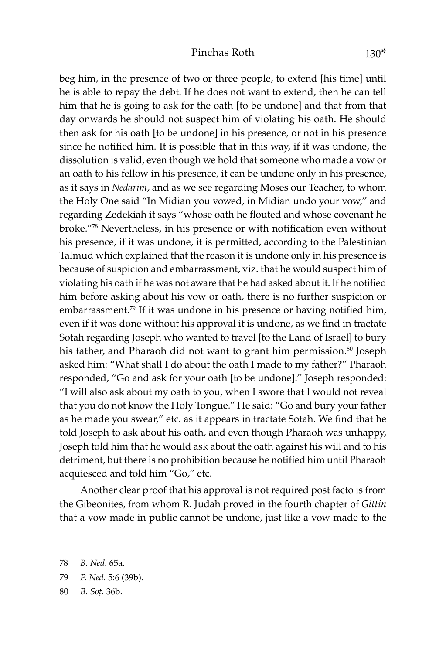#### Pinchas Roth 130<sup>\*</sup>

beg him, in the presence of two or three people, to extend [his time] until he is able to repay the debt. If he does not want to extend, then he can tell him that he is going to ask for the oath [to be undone] and that from that day onwards he should not suspect him of violating his oath. He should then ask for his oath [to be undone] in his presence, or not in his presence since he notified him. It is possible that in this way, if it was undone, the dissolution is valid, even though we hold that someone who made a vow or an oath to his fellow in his presence, it can be undone only in his presence, as it says in *Nedarim*, and as we see regarding Moses our Teacher, to whom the Holy One said "In Midian you vowed, in Midian undo your vow," and regarding Zedekiah it says "whose oath he flouted and whose covenant he broke."78 Nevertheless, in his presence or with notification even without his presence, if it was undone, it is permitted, according to the Palestinian Talmud which explained that the reason it is undone only in his presence is because of suspicion and embarrassment, viz. that he would suspect him of violating his oath if he was not aware that he had asked about it. If he notified him before asking about his vow or oath, there is no further suspicion or embarrassment.<sup>79</sup> If it was undone in his presence or having notified him, even if it was done without his approval it is undone, as we find in tractate Sotah regarding Joseph who wanted to travel [to the Land of Israel] to bury his father, and Pharaoh did not want to grant him permission.<sup>80</sup> Joseph asked him: "What shall I do about the oath I made to my father?" Pharaoh responded, "Go and ask for your oath [to be undone]." Joseph responded: "I will also ask about my oath to you, when I swore that I would not reveal that you do not know the Holy Tongue." He said: "Go and bury your father as he made you swear," etc. as it appears in tractate Sotah. We find that he told Joseph to ask about his oath, and even though Pharaoh was unhappy, Joseph told him that he would ask about the oath against his will and to his detriment, but there is no prohibition because he notified him until Pharaoh acquiesced and told him "Go," etc.

Another clear proof that his approval is not required post facto is from the Gibeonites, from whom R. Judah proved in the fourth chapter of *Gittin* that a vow made in public cannot be undone, just like a vow made to the

<sup>78</sup> *B. Ned.* 65a.

<sup>79</sup> *P. Ned.* 5:6 (39b).

<sup>80</sup> *B. Soû.* 36b.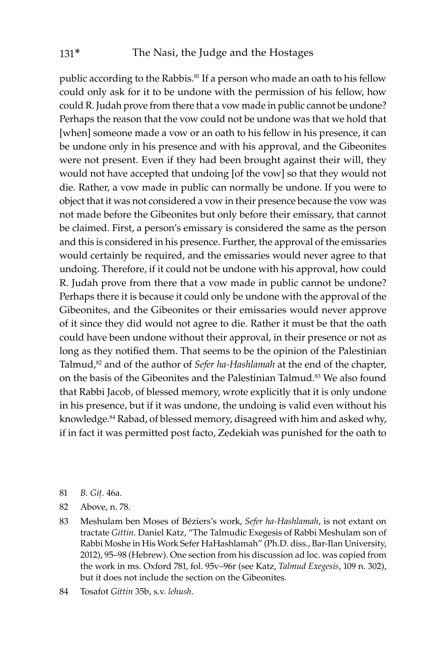public according to the Rabbis.<sup>81</sup> If a person who made an oath to his fellow could only ask for it to be undone with the permission of his fellow, how could R. Judah prove from there that a vow made in public cannot be undone? Perhaps the reason that the vow could not be undone was that we hold that [when] someone made a vow or an oath to his fellow in his presence, it can be undone only in his presence and with his approval, and the Gibeonites were not present. Even if they had been brought against their will, they would not have accepted that undoing [of the vow] so that they would not die. Rather, a vow made in public can normally be undone. If you were to object that it was not considered a vow in their presence because the vow was not made before the Gibeonites but only before their emissary, that cannot be claimed. First, a person's emissary is considered the same as the person and this is considered in his presence. Further, the approval of the emissaries would certainly be required, and the emissaries would never agree to that undoing. Therefore, if it could not be undone with his approval, how could R. Judah prove from there that a vow made in public cannot be undone? Perhaps there it is because it could only be undone with the approval of the Gibeonites, and the Gibeonites or their emissaries would never approve of it since they did would not agree to die. Rather it must be that the oath could have been undone without their approval, in their presence or not as long as they notified them. That seems to be the opinion of the Palestinian Talmud,<sup>82</sup> and of the author of *Sefer ha-Hashlamah* at the end of the chapter, on the basis of the Gibeonites and the Palestinian Talmud.<sup>83</sup> We also found that Rabbi Jacob, of blessed memory, wrote explicitly that it is only undone in his presence, but if it was undone, the undoing is valid even without his knowledge.<sup>84</sup> Rabad, of blessed memory, disagreed with him and asked why, if in fact it was permitted post facto, Zedekiah was punished for the oath to

- 81 *B. Giû.* 46a.
- 82 Above, n. 78.

83 Meshulam ben Moses of Béziers's work, *Sefer ha-Hashlamah*, is not extant on tractate *Gittin*. Daniel Katz, "The Talmudic Exegesis of Rabbi Meshulam son of Rabbi Moshe in His Work Sefer HaHashlamah" (Ph.D. diss., Bar-Ilan University, 2012), 95–98 (Hebrew). One section from his discussion ad loc. was copied from the work in ms. Oxford 781, fol. 95v–96r (see Katz, *Talmud Exegesis*, 109 n. 302), but it does not include the section on the Gibeonites.

84 Tosafot *Gittin* 35b, s.v. *lehush*.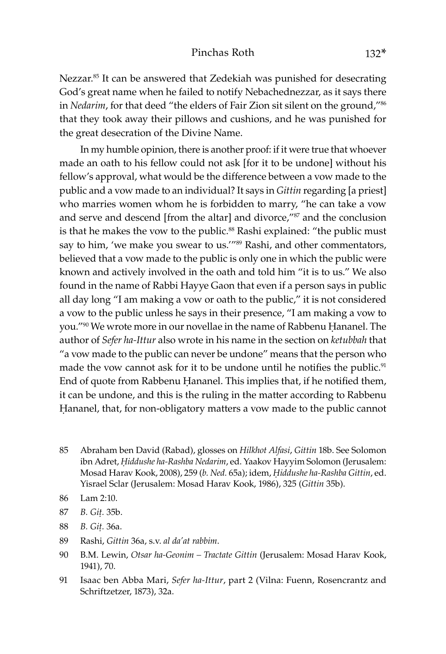#### Pinchas Roth 132<sup>\*</sup>

Nezzar.<sup>85</sup> It can be answered that Zedekiah was punished for desecrating God's great name when he failed to notify Nebachednezzar, as it says there in *Nedarim*, for that deed "the elders of Fair Zion sit silent on the ground,"<sup>86</sup> that they took away their pillows and cushions, and he was punished for the great desecration of the Divine Name.

In my humble opinion, there is another proof: if it were true that whoever made an oath to his fellow could not ask [for it to be undone] without his fellow's approval, what would be the difference between a vow made to the public and a vow made to an individual? It says in *Gittin* regarding [a priest] who marries women whom he is forbidden to marry, "he can take a vow and serve and descend [from the altar] and divorce,"87 and the conclusion is that he makes the vow to the public.<sup>88</sup> Rashi explained: "the public must say to him, 'we make you swear to us.'"<sup>89</sup> Rashi, and other commentators, believed that a vow made to the public is only one in which the public were known and actively involved in the oath and told him "it is to us." We also found in the name of Rabbi Hayye Gaon that even if a person says in public all day long "I am making a vow or oath to the public," it is not considered a vow to the public unless he says in their presence, "I am making a vow to you."<sup>90</sup> We wrote more in our novellae in the name of Rabbenu Hananel. The author of *Sefer ha-Ittur* also wrote in his name in the section on *ketubbah* that "a vow made to the public can never be undone" means that the person who made the vow cannot ask for it to be undone until he notifies the public.<sup>91</sup> End of quote from Rabbenu Hananel. This implies that, if he notified them, it can be undone, and this is the ruling in the matter according to Rabbenu Hananel, that, for non-obligatory matters a vow made to the public cannot

- 85 Abraham ben David (Rabad), glosses on *Hilkhot Alfasi*, *Gittin* 18b. See Solomon ibn Adret, *Êiddushe ha-Rashba Nedarim*, ed. Yaakov Hayyim Solomon (Jerusalem: Mosad Harav Kook, 2008), 259 (*b. Ned.* 65a); idem, *Êiddushe ha-Rashba Gittin*, ed. Yisrael Sclar (Jerusalem: Mosad Harav Kook, 1986), 325 (*Gittin* 35b).
- 86 Lam 2:10.
- 87 *B. Giû.* 35b.
- 88 *B. Giû.* 36a.
- 89 Rashi, *Gittin* 36a, s.v. *al da'at rabbim*.
- 90 B.M. Lewin, *Otsar ha-Geonim Tractate Gittin* (Jerusalem: Mosad Harav Kook, 1941), 70.
- 91 Isaac ben Abba Mari, *Sefer ha-Ittur*, part 2 (Vilna: Fuenn, Rosencrantz and Schriftzetzer, 1873), 32a.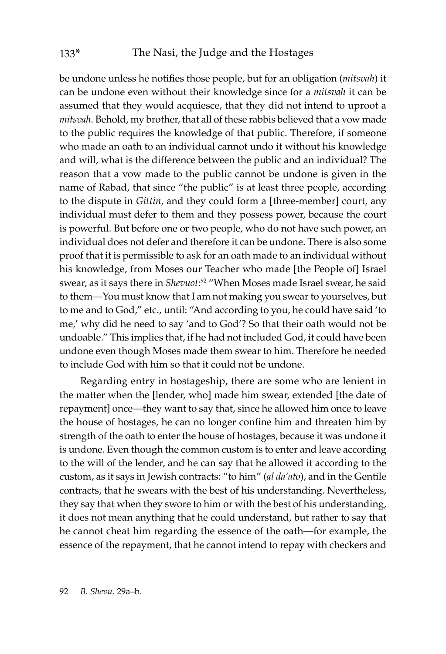be undone unless he notifies those people, but for an obligation (*mitsvah*) it can be undone even without their knowledge since for a *mitsvah* it can be assumed that they would acquiesce, that they did not intend to uproot a *mitsvah*. Behold, my brother, that all of these rabbis believed that a vow made to the public requires the knowledge of that public. Therefore, if someone who made an oath to an individual cannot undo it without his knowledge and will, what is the difference between the public and an individual? The reason that a vow made to the public cannot be undone is given in the name of Rabad, that since "the public" is at least three people, according to the dispute in *Gittin*, and they could form a [three-member] court, any individual must defer to them and they possess power, because the court is powerful. But before one or two people, who do not have such power, an individual does not defer and therefore it can be undone. There is also some proof that it is permissible to ask for an oath made to an individual without his knowledge, from Moses our Teacher who made [the People of] Israel swear, as it says there in *Shevuot*: 92 "When Moses made Israel swear, he said to them—You must know that I am not making you swear to yourselves, but to me and to God," etc., until: "And according to you, he could have said 'to me,' why did he need to say 'and to God'? So that their oath would not be undoable." This implies that, if he had not included God, it could have been undone even though Moses made them swear to him. Therefore he needed to include God with him so that it could not be undone.

Regarding entry in hostageship, there are some who are lenient in the matter when the [lender, who] made him swear, extended [the date of repayment] once—they want to say that, since he allowed him once to leave the house of hostages, he can no longer confine him and threaten him by strength of the oath to enter the house of hostages, because it was undone it is undone. Even though the common custom is to enter and leave according to the will of the lender, and he can say that he allowed it according to the custom, as it says in Jewish contracts: "to him" (*al da'ato*), and in the Gentile contracts, that he swears with the best of his understanding. Nevertheless, they say that when they swore to him or with the best of his understanding, it does not mean anything that he could understand, but rather to say that he cannot cheat him regarding the essence of the oath—for example, the essence of the repayment, that he cannot intend to repay with checkers and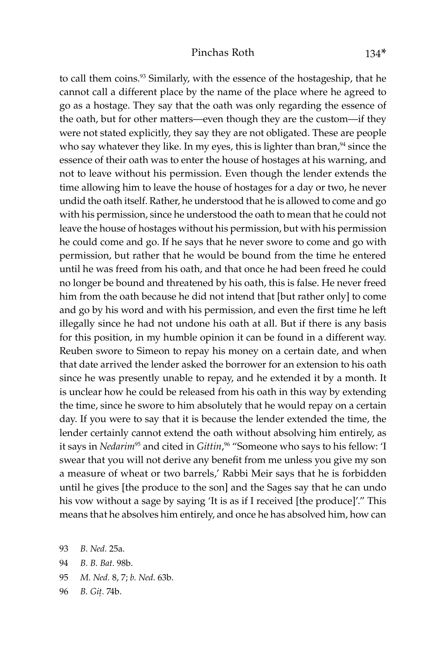#### Pinchas Roth 134\*

to call them coins.<sup>93</sup> Similarly, with the essence of the hostageship, that he cannot call a different place by the name of the place where he agreed to go as a hostage. They say that the oath was only regarding the essence of the oath, but for other matters—even though they are the custom—if they were not stated explicitly, they say they are not obligated. These are people who say whatever they like. In my eyes, this is lighter than bran, $94$  since the essence of their oath was to enter the house of hostages at his warning, and not to leave without his permission. Even though the lender extends the time allowing him to leave the house of hostages for a day or two, he never undid the oath itself. Rather, he understood that he is allowed to come and go with his permission, since he understood the oath to mean that he could not leave the house of hostages without his permission, but with his permission he could come and go. If he says that he never swore to come and go with permission, but rather that he would be bound from the time he entered until he was freed from his oath, and that once he had been freed he could no longer be bound and threatened by his oath, this is false. He never freed him from the oath because he did not intend that [but rather only] to come and go by his word and with his permission, and even the first time he left illegally since he had not undone his oath at all. But if there is any basis for this position, in my humble opinion it can be found in a different way. Reuben swore to Simeon to repay his money on a certain date, and when that date arrived the lender asked the borrower for an extension to his oath since he was presently unable to repay, and he extended it by a month. It is unclear how he could be released from his oath in this way by extending the time, since he swore to him absolutely that he would repay on a certain day. If you were to say that it is because the lender extended the time, the lender certainly cannot extend the oath without absolving him entirely, as it says in *Nedarim*95 and cited in *Gittin*, 96 "Someone who says to his fellow: 'I swear that you will not derive any benefit from me unless you give my son a measure of wheat or two barrels,' Rabbi Meir says that he is forbidden until he gives [the produce to the son] and the Sages say that he can undo his vow without a sage by saying 'It is as if I received [the produce]'." This means that he absolves him entirely, and once he has absolved him, how can

- 93 *B. Ned.* 25a.
- 94 *B. B. Bat.* 98b.
- 95 *M. Ned.* 8, 7; *b. Ned.* 63b.
- 96 *B. Giû.* 74b.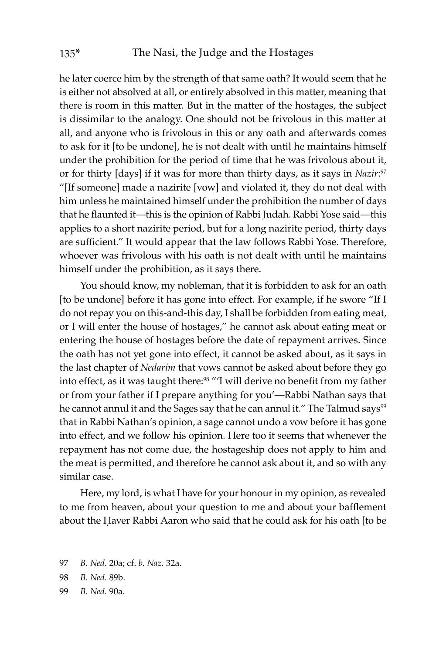he later coerce him by the strength of that same oath? It would seem that he is either not absolved at all, or entirely absolved in this matter, meaning that there is room in this matter. But in the matter of the hostages, the subject is dissimilar to the analogy. One should not be frivolous in this matter at all, and anyone who is frivolous in this or any oath and afterwards comes to ask for it [to be undone], he is not dealt with until he maintains himself under the prohibition for the period of time that he was frivolous about it, or for thirty [days] if it was for more than thirty days, as it says in *Nazir*: 97 "[If someone] made a nazirite [vow] and violated it, they do not deal with him unless he maintained himself under the prohibition the number of days that he flaunted it—this is the opinion of Rabbi Judah. Rabbi Yose said—this applies to a short nazirite period, but for a long nazirite period, thirty days are sufficient." It would appear that the law follows Rabbi Yose. Therefore, whoever was frivolous with his oath is not dealt with until he maintains himself under the prohibition, as it says there.

You should know, my nobleman, that it is forbidden to ask for an oath [to be undone] before it has gone into effect. For example, if he swore "If I do not repay you on this-and-this day, I shall be forbidden from eating meat, or I will enter the house of hostages," he cannot ask about eating meat or entering the house of hostages before the date of repayment arrives. Since the oath has not yet gone into effect, it cannot be asked about, as it says in the last chapter of *Nedarim* that vows cannot be asked about before they go into effect, as it was taught there:<sup>98</sup> "'I will derive no benefit from my father or from your father if I prepare anything for you'—Rabbi Nathan says that he cannot annul it and the Sages say that he can annul it." The Talmud says<sup>99</sup> that in Rabbi Nathan's opinion, a sage cannot undo a vow before it has gone into effect, and we follow his opinion. Here too it seems that whenever the repayment has not come due, the hostageship does not apply to him and the meat is permitted, and therefore he cannot ask about it, and so with any similar case.

Here, my lord, is what I have for your honour in my opinion, as revealed to me from heaven, about your question to me and about your bafflement about the Haver Rabbi Aaron who said that he could ask for his oath [to be

- 97 *B. Ned.* 20a; cf. *b. Naz.* 32a.
- 98 *B. Ned.* 89b.
- 99 *B. Ned.* 90a.